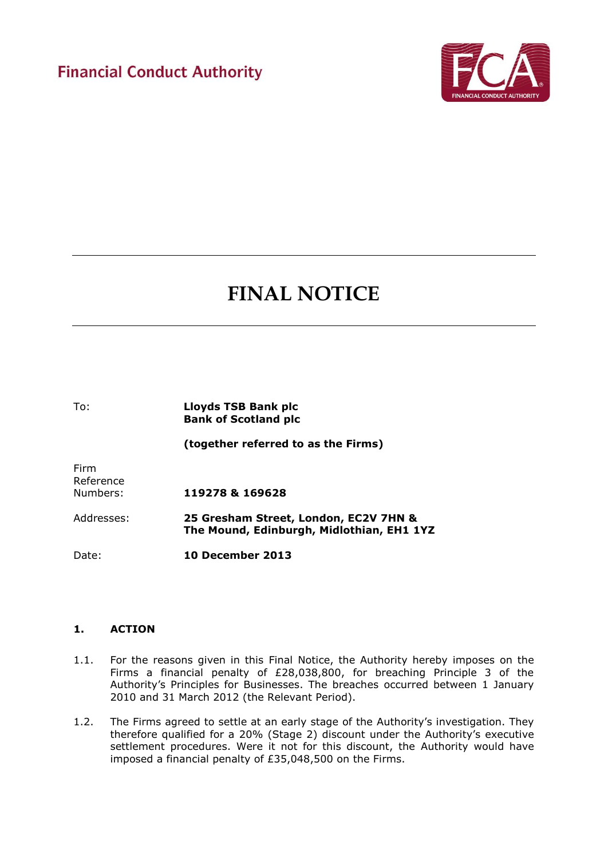

# **FINAL NOTICE**

To: **Lloyds TSB Bank plc Bank of Scotland plc (together referred to as the Firms)** Firm Reference Numbers: **119278 & 169628** Addresses: **25 Gresham Street, London, EC2V 7HN & The Mound, Edinburgh, Midlothian, EH1 1YZ**  Date: **10 December 2013**

# **1. ACTION**

- 1.1. For the reasons given in this Final Notice, the Authority hereby imposes on the Firms a financial penalty of £28,038,800, for breaching Principle 3 of the Authority's Principles for Businesses. The breaches occurred between 1 January 2010 and 31 March 2012 (the Relevant Period).
- 1.2. The Firms agreed to settle at an early stage of the Authority's investigation. They therefore qualified for a 20% (Stage 2) discount under the Authority's executive settlement procedures. Were it not for this discount, the Authority would have imposed a financial penalty of £35,048,500 on the Firms.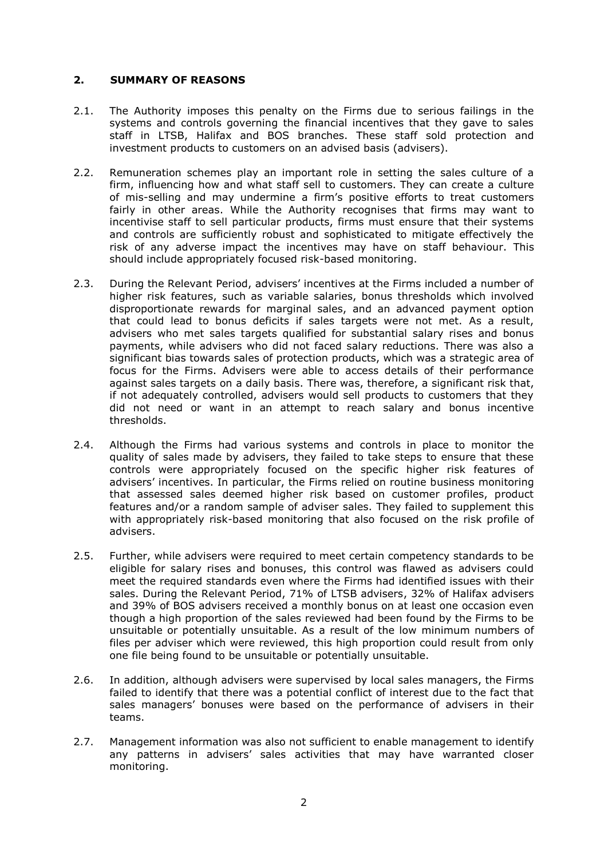# **2. SUMMARY OF REASONS**

- 2.1. The Authority imposes this penalty on the Firms due to serious failings in the systems and controls governing the financial incentives that they gave to sales staff in LTSB, Halifax and BOS branches. These staff sold protection and investment products to customers on an advised basis (advisers).
- 2.2. Remuneration schemes play an important role in setting the sales culture of a firm, influencing how and what staff sell to customers. They can create a culture of mis-selling and may undermine a firm's positive efforts to treat customers fairly in other areas. While the Authority recognises that firms may want to incentivise staff to sell particular products, firms must ensure that their systems and controls are sufficiently robust and sophisticated to mitigate effectively the risk of any adverse impact the incentives may have on staff behaviour. This should include appropriately focused risk-based monitoring.
- 2.3. During the Relevant Period, advisers' incentives at the Firms included a number of higher risk features, such as variable salaries, bonus thresholds which involved disproportionate rewards for marginal sales, and an advanced payment option that could lead to bonus deficits if sales targets were not met. As a result, advisers who met sales targets qualified for substantial salary rises and bonus payments, while advisers who did not faced salary reductions. There was also a significant bias towards sales of protection products, which was a strategic area of focus for the Firms. Advisers were able to access details of their performance against sales targets on a daily basis. There was, therefore, a significant risk that, if not adequately controlled, advisers would sell products to customers that they did not need or want in an attempt to reach salary and bonus incentive thresholds.
- 2.4. Although the Firms had various systems and controls in place to monitor the quality of sales made by advisers, they failed to take steps to ensure that these controls were appropriately focused on the specific higher risk features of advisers' incentives. In particular, the Firms relied on routine business monitoring that assessed sales deemed higher risk based on customer profiles, product features and/or a random sample of adviser sales. They failed to supplement this with appropriately risk-based monitoring that also focused on the risk profile of advisers.
- 2.5. Further, while advisers were required to meet certain competency standards to be eligible for salary rises and bonuses, this control was flawed as advisers could meet the required standards even where the Firms had identified issues with their sales. During the Relevant Period, 71% of LTSB advisers, 32% of Halifax advisers and 39% of BOS advisers received a monthly bonus on at least one occasion even though a high proportion of the sales reviewed had been found by the Firms to be unsuitable or potentially unsuitable. As a result of the low minimum numbers of files per adviser which were reviewed, this high proportion could result from only one file being found to be unsuitable or potentially unsuitable.
- 2.6. In addition, although advisers were supervised by local sales managers, the Firms failed to identify that there was a potential conflict of interest due to the fact that sales managers' bonuses were based on the performance of advisers in their teams.
- 2.7. Management information was also not sufficient to enable management to identify any patterns in advisers' sales activities that may have warranted closer monitoring.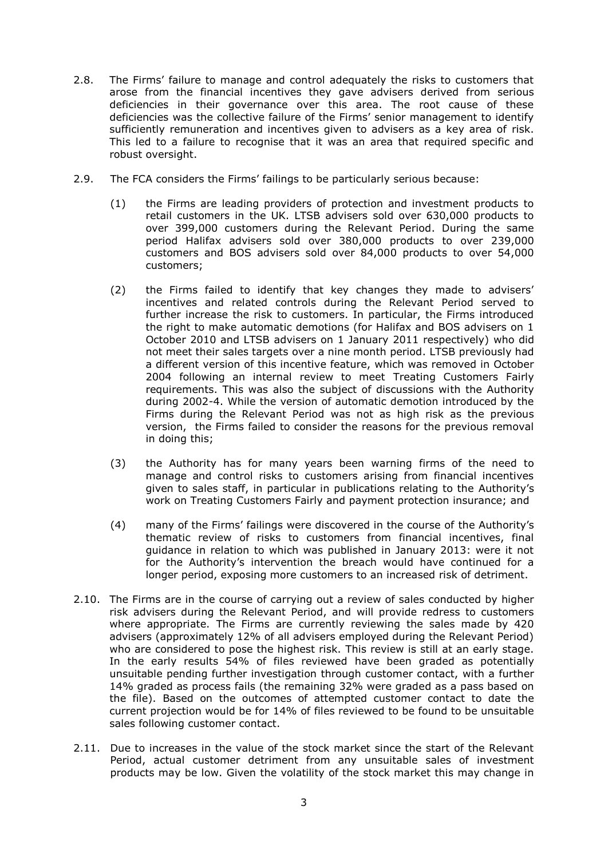- 2.8. The Firms' failure to manage and control adequately the risks to customers that arose from the financial incentives they gave advisers derived from serious deficiencies in their governance over this area. The root cause of these deficiencies was the collective failure of the Firms' senior management to identify sufficiently remuneration and incentives given to advisers as a key area of risk. This led to a failure to recognise that it was an area that required specific and robust oversight.
- 2.9. The FCA considers the Firms' failings to be particularly serious because:
	- (1) the Firms are leading providers of protection and investment products to retail customers in the UK. LTSB advisers sold over 630,000 products to over 399,000 customers during the Relevant Period. During the same period Halifax advisers sold over 380,000 products to over 239,000 customers and BOS advisers sold over 84,000 products to over 54,000 customers;
	- (2) the Firms failed to identify that key changes they made to advisers' incentives and related controls during the Relevant Period served to further increase the risk to customers. In particular, the Firms introduced the right to make automatic demotions (for Halifax and BOS advisers on 1 October 2010 and LTSB advisers on 1 January 2011 respectively) who did not meet their sales targets over a nine month period. LTSB previously had a different version of this incentive feature, which was removed in October 2004 following an internal review to meet Treating Customers Fairly requirements. This was also the subject of discussions with the Authority during 2002-4. While the version of automatic demotion introduced by the Firms during the Relevant Period was not as high risk as the previous version, the Firms failed to consider the reasons for the previous removal in doing this;
	- (3) the Authority has for many years been warning firms of the need to manage and control risks to customers arising from financial incentives given to sales staff, in particular in publications relating to the Authority's work on Treating Customers Fairly and payment protection insurance; and
	- (4) many of the Firms' failings were discovered in the course of the Authority's thematic review of risks to customers from financial incentives, final guidance in relation to which was published in January 2013: were it not for the Authority's intervention the breach would have continued for a longer period, exposing more customers to an increased risk of detriment.
- 2.10. The Firms are in the course of carrying out a review of sales conducted by higher risk advisers during the Relevant Period, and will provide redress to customers where appropriate. The Firms are currently reviewing the sales made by 420 advisers (approximately 12% of all advisers employed during the Relevant Period) who are considered to pose the highest risk. This review is still at an early stage. In the early results 54% of files reviewed have been graded as potentially unsuitable pending further investigation through customer contact, with a further 14% graded as process fails (the remaining 32% were graded as a pass based on the file). Based on the outcomes of attempted customer contact to date the current projection would be for 14% of files reviewed to be found to be unsuitable sales following customer contact.
- 2.11. Due to increases in the value of the stock market since the start of the Relevant Period, actual customer detriment from any unsuitable sales of investment products may be low. Given the volatility of the stock market this may change in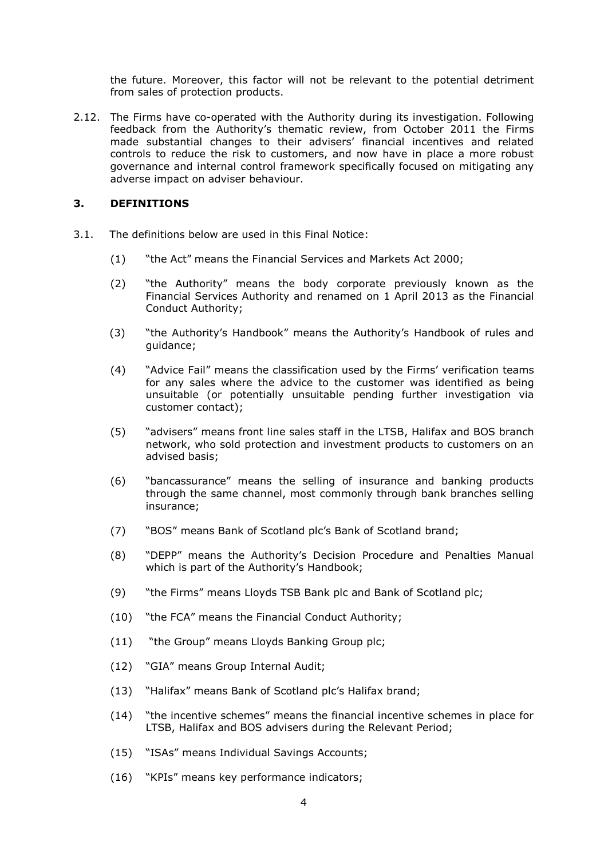the future. Moreover, this factor will not be relevant to the potential detriment from sales of protection products.

2.12. The Firms have co-operated with the Authority during its investigation. Following feedback from the Authority's thematic review, from October 2011 the Firms made substantial changes to their advisers' financial incentives and related controls to reduce the risk to customers, and now have in place a more robust governance and internal control framework specifically focused on mitigating any adverse impact on adviser behaviour.

# **3. DEFINITIONS**

- 3.1. The definitions below are used in this Final Notice:
	- (1) "the Act" means the Financial Services and Markets Act 2000;
	- (2) "the Authority" means the body corporate previously known as the Financial Services Authority and renamed on 1 April 2013 as the Financial Conduct Authority;
	- (3) "the Authority's Handbook" means the Authority's Handbook of rules and guidance;
	- (4) "Advice Fail" means the classification used by the Firms' verification teams for any sales where the advice to the customer was identified as being unsuitable (or potentially unsuitable pending further investigation via customer contact);
	- (5) "advisers" means front line sales staff in the LTSB, Halifax and BOS branch network, who sold protection and investment products to customers on an advised basis;
	- (6) "bancassurance" means the selling of insurance and banking products through the same channel, most commonly through bank branches selling insurance;
	- (7) "BOS" means Bank of Scotland plc's Bank of Scotland brand;
	- (8) "DEPP" means the Authority's Decision Procedure and Penalties Manual which is part of the Authority's Handbook;
	- (9) "the Firms" means Lloyds TSB Bank plc and Bank of Scotland plc;
	- (10) "the FCA" means the Financial Conduct Authority;
	- (11) "the Group" means Lloyds Banking Group plc;
	- (12) "GIA" means Group Internal Audit;
	- (13) "Halifax" means Bank of Scotland plc's Halifax brand;
	- (14) "the incentive schemes" means the financial incentive schemes in place for LTSB, Halifax and BOS advisers during the Relevant Period;
	- (15) "ISAs" means Individual Savings Accounts;
	- (16) "KPIs" means key performance indicators;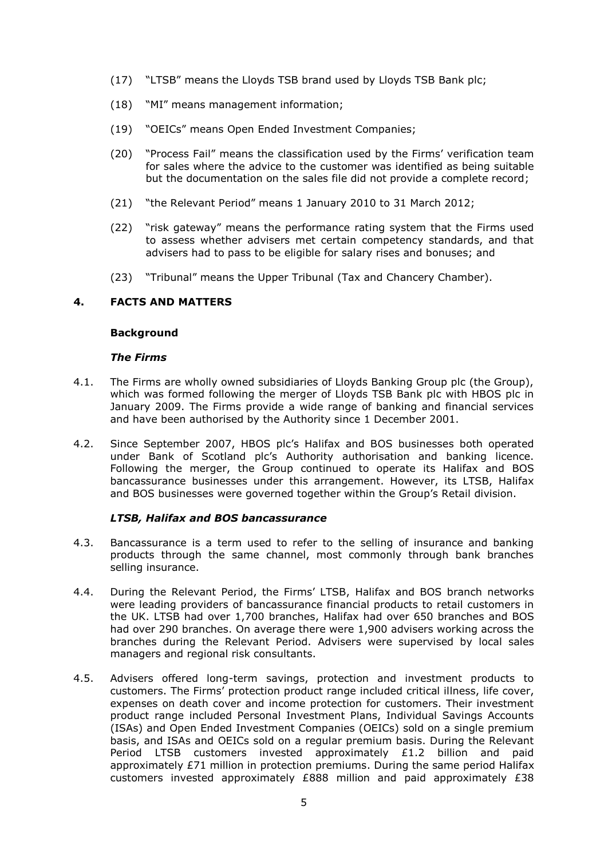- (17) "LTSB" means the Lloyds TSB brand used by Lloyds TSB Bank plc;
- (18) "MI" means management information;
- (19) "OEICs" means Open Ended Investment Companies;
- (20) "Process Fail" means the classification used by the Firms' verification team for sales where the advice to the customer was identified as being suitable but the documentation on the sales file did not provide a complete record;
- (21) "the Relevant Period" means 1 January 2010 to 31 March 2012;
- (22) "risk gateway" means the performance rating system that the Firms used to assess whether advisers met certain competency standards, and that advisers had to pass to be eligible for salary rises and bonuses; and
- (23) "Tribunal" means the Upper Tribunal (Tax and Chancery Chamber).

# **4. FACTS AND MATTERS**

# **Background**

# *The Firms*

- 4.1. The Firms are wholly owned subsidiaries of Lloyds Banking Group plc (the Group), which was formed following the merger of Lloyds TSB Bank plc with HBOS plc in January 2009. The Firms provide a wide range of banking and financial services and have been authorised by the Authority since 1 December 2001.
- 4.2. Since September 2007, HBOS plc's Halifax and BOS businesses both operated under Bank of Scotland plc's Authority authorisation and banking licence. Following the merger, the Group continued to operate its Halifax and BOS bancassurance businesses under this arrangement. However, its LTSB, Halifax and BOS businesses were governed together within the Group's Retail division.

# *LTSB, Halifax and BOS bancassurance*

- 4.3. Bancassurance is a term used to refer to the selling of insurance and banking products through the same channel, most commonly through bank branches selling insurance.
- 4.4. During the Relevant Period, the Firms' LTSB, Halifax and BOS branch networks were leading providers of bancassurance financial products to retail customers in the UK. LTSB had over 1,700 branches, Halifax had over 650 branches and BOS had over 290 branches. On average there were 1,900 advisers working across the branches during the Relevant Period. Advisers were supervised by local sales managers and regional risk consultants.
- 4.5. Advisers offered long-term savings, protection and investment products to customers. The Firms' protection product range included critical illness, life cover, expenses on death cover and income protection for customers. Their investment product range included Personal Investment Plans, Individual Savings Accounts (ISAs) and Open Ended Investment Companies (OEICs) sold on a single premium basis, and ISAs and OEICs sold on a regular premium basis. During the Relevant Period LTSB customers invested approximately £1.2 billion and paid approximately  $E71$  million in protection premiums. During the same period Halifax customers invested approximately £888 million and paid approximately £38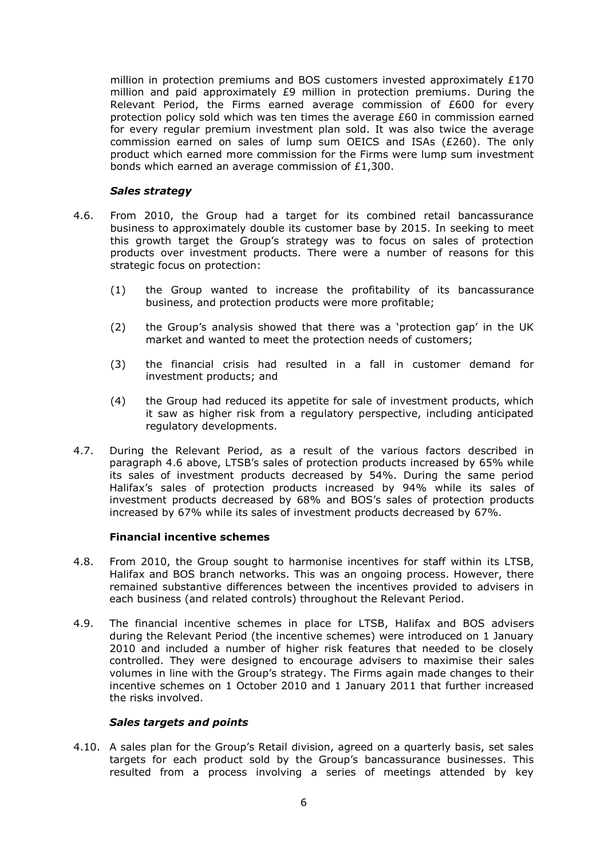million in protection premiums and BOS customers invested approximately £170 million and paid approximately £9 million in protection premiums. During the Relevant Period, the Firms earned average commission of £600 for every protection policy sold which was ten times the average £60 in commission earned for every regular premium investment plan sold. It was also twice the average commission earned on sales of lump sum OEICS and ISAs (£260). The only product which earned more commission for the Firms were lump sum investment bonds which earned an average commission of £1,300.

# *Sales strategy*

- 4.6. From 2010, the Group had a target for its combined retail bancassurance business to approximately double its customer base by 2015. In seeking to meet this growth target the Group's strategy was to focus on sales of protection products over investment products. There were a number of reasons for this strategic focus on protection:
	- (1) the Group wanted to increase the profitability of its bancassurance business, and protection products were more profitable;
	- (2) the Group's analysis showed that there was a 'protection gap' in the UK market and wanted to meet the protection needs of customers;
	- (3) the financial crisis had resulted in a fall in customer demand for investment products; and
	- (4) the Group had reduced its appetite for sale of investment products, which it saw as higher risk from a regulatory perspective, including anticipated regulatory developments.
- 4.7. During the Relevant Period, as a result of the various factors described in paragraph 4.6 above, LTSB's sales of protection products increased by 65% while its sales of investment products decreased by 54%. During the same period Halifax's sales of protection products increased by 94% while its sales of investment products decreased by 68% and BOS's sales of protection products increased by 67% while its sales of investment products decreased by 67%.

# **Financial incentive schemes**

- 4.8. From 2010, the Group sought to harmonise incentives for staff within its LTSB, Halifax and BOS branch networks. This was an ongoing process. However, there remained substantive differences between the incentives provided to advisers in each business (and related controls) throughout the Relevant Period.
- 4.9. The financial incentive schemes in place for LTSB, Halifax and BOS advisers during the Relevant Period (the incentive schemes) were introduced on 1 January 2010 and included a number of higher risk features that needed to be closely controlled. They were designed to encourage advisers to maximise their sales volumes in line with the Group's strategy. The Firms again made changes to their incentive schemes on 1 October 2010 and 1 January 2011 that further increased the risks involved.

# *Sales targets and points*

4.10. A sales plan for the Group's Retail division, agreed on a quarterly basis, set sales targets for each product sold by the Group's bancassurance businesses. This resulted from a process involving a series of meetings attended by key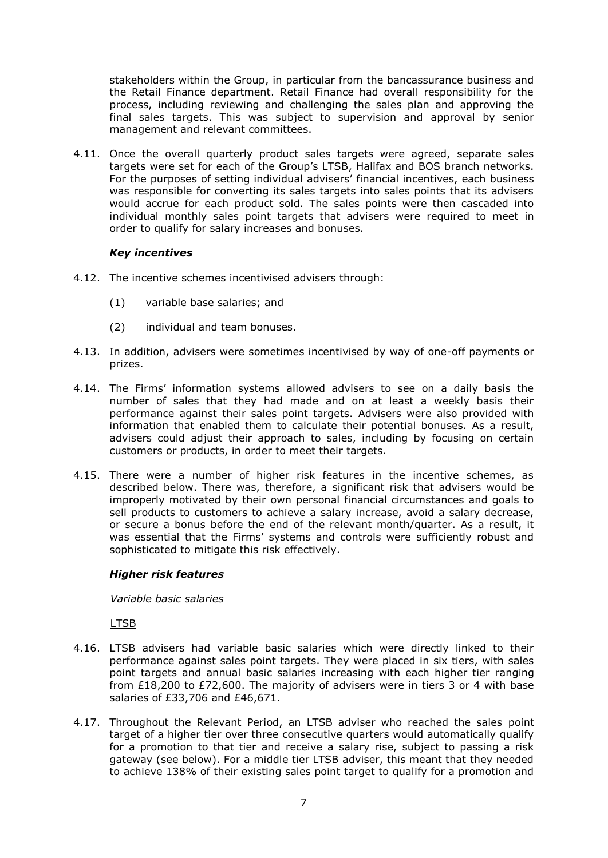stakeholders within the Group, in particular from the bancassurance business and the Retail Finance department. Retail Finance had overall responsibility for the process, including reviewing and challenging the sales plan and approving the final sales targets. This was subject to supervision and approval by senior management and relevant committees.

4.11. Once the overall quarterly product sales targets were agreed, separate sales targets were set for each of the Group's LTSB, Halifax and BOS branch networks. For the purposes of setting individual advisers' financial incentives, each business was responsible for converting its sales targets into sales points that its advisers would accrue for each product sold. The sales points were then cascaded into individual monthly sales point targets that advisers were required to meet in order to qualify for salary increases and bonuses.

# *Key incentives*

- 4.12. The incentive schemes incentivised advisers through:
	- (1) variable base salaries; and
	- (2) individual and team bonuses.
- 4.13. In addition, advisers were sometimes incentivised by way of one-off payments or prizes.
- 4.14. The Firms' information systems allowed advisers to see on a daily basis the number of sales that they had made and on at least a weekly basis their performance against their sales point targets. Advisers were also provided with information that enabled them to calculate their potential bonuses. As a result, advisers could adjust their approach to sales, including by focusing on certain customers or products, in order to meet their targets.
- 4.15. There were a number of higher risk features in the incentive schemes, as described below. There was, therefore, a significant risk that advisers would be improperly motivated by their own personal financial circumstances and goals to sell products to customers to achieve a salary increase, avoid a salary decrease, or secure a bonus before the end of the relevant month/quarter. As a result, it was essential that the Firms' systems and controls were sufficiently robust and sophisticated to mitigate this risk effectively.

# *Higher risk features*

*Variable basic salaries*

LTSB

- 4.16. LTSB advisers had variable basic salaries which were directly linked to their performance against sales point targets. They were placed in six tiers, with sales point targets and annual basic salaries increasing with each higher tier ranging from £18,200 to £72,600. The majority of advisers were in tiers 3 or 4 with base salaries of £33,706 and £46,671.
- 4.17. Throughout the Relevant Period, an LTSB adviser who reached the sales point target of a higher tier over three consecutive quarters would automatically qualify for a promotion to that tier and receive a salary rise, subject to passing a risk gateway (see below). For a middle tier LTSB adviser, this meant that they needed to achieve 138% of their existing sales point target to qualify for a promotion and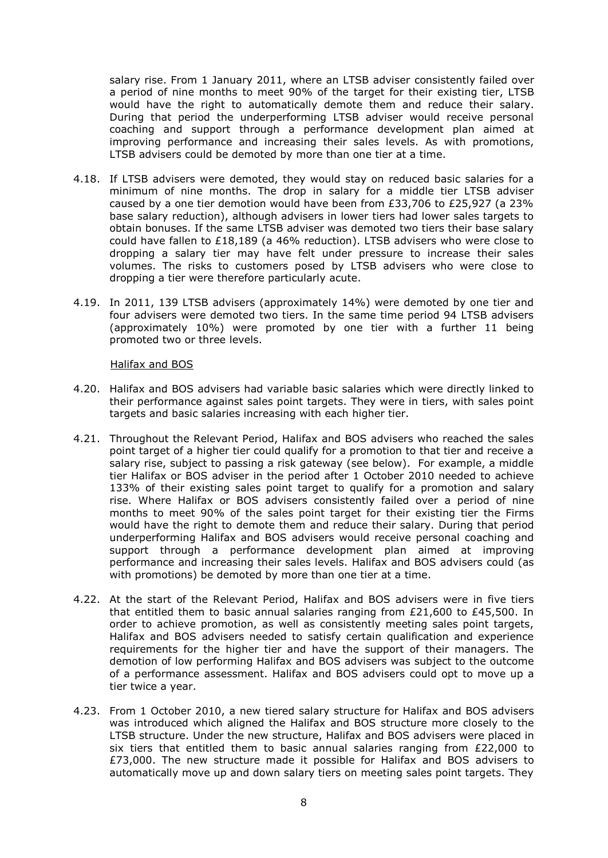salary rise. From 1 January 2011, where an LTSB adviser consistently failed over a period of nine months to meet 90% of the target for their existing tier, LTSB would have the right to automatically demote them and reduce their salary. During that period the underperforming LTSB adviser would receive personal coaching and support through a performance development plan aimed at improving performance and increasing their sales levels. As with promotions, LTSB advisers could be demoted by more than one tier at a time.

- 4.18. If LTSB advisers were demoted, they would stay on reduced basic salaries for a minimum of nine months. The drop in salary for a middle tier LTSB adviser caused by a one tier demotion would have been from £33,706 to £25,927 (a 23% base salary reduction), although advisers in lower tiers had lower sales targets to obtain bonuses. If the same LTSB adviser was demoted two tiers their base salary could have fallen to £18,189 (a 46% reduction). LTSB advisers who were close to dropping a salary tier may have felt under pressure to increase their sales volumes. The risks to customers posed by LTSB advisers who were close to dropping a tier were therefore particularly acute.
- 4.19. In 2011, 139 LTSB advisers (approximately 14%) were demoted by one tier and four advisers were demoted two tiers. In the same time period 94 LTSB advisers (approximately 10%) were promoted by one tier with a further 11 being promoted two or three levels.

#### Halifax and BOS

- 4.20. Halifax and BOS advisers had variable basic salaries which were directly linked to their performance against sales point targets. They were in tiers, with sales point targets and basic salaries increasing with each higher tier.
- 4.21. Throughout the Relevant Period, Halifax and BOS advisers who reached the sales point target of a higher tier could qualify for a promotion to that tier and receive a salary rise, subject to passing a risk gateway (see below). For example, a middle tier Halifax or BOS adviser in the period after 1 October 2010 needed to achieve 133% of their existing sales point target to qualify for a promotion and salary rise. Where Halifax or BOS advisers consistently failed over a period of nine months to meet 90% of the sales point target for their existing tier the Firms would have the right to demote them and reduce their salary. During that period underperforming Halifax and BOS advisers would receive personal coaching and support through a performance development plan aimed at improving performance and increasing their sales levels. Halifax and BOS advisers could (as with promotions) be demoted by more than one tier at a time.
- 4.22. At the start of the Relevant Period, Halifax and BOS advisers were in five tiers that entitled them to basic annual salaries ranging from  $£21,600$  to  $£45,500$ . In order to achieve promotion, as well as consistently meeting sales point targets, Halifax and BOS advisers needed to satisfy certain qualification and experience requirements for the higher tier and have the support of their managers. The demotion of low performing Halifax and BOS advisers was subject to the outcome of a performance assessment. Halifax and BOS advisers could opt to move up a tier twice a year.
- 4.23. From 1 October 2010, a new tiered salary structure for Halifax and BOS advisers was introduced which aligned the Halifax and BOS structure more closely to the LTSB structure. Under the new structure, Halifax and BOS advisers were placed in six tiers that entitled them to basic annual salaries ranging from £22,000 to £73,000. The new structure made it possible for Halifax and BOS advisers to automatically move up and down salary tiers on meeting sales point targets. They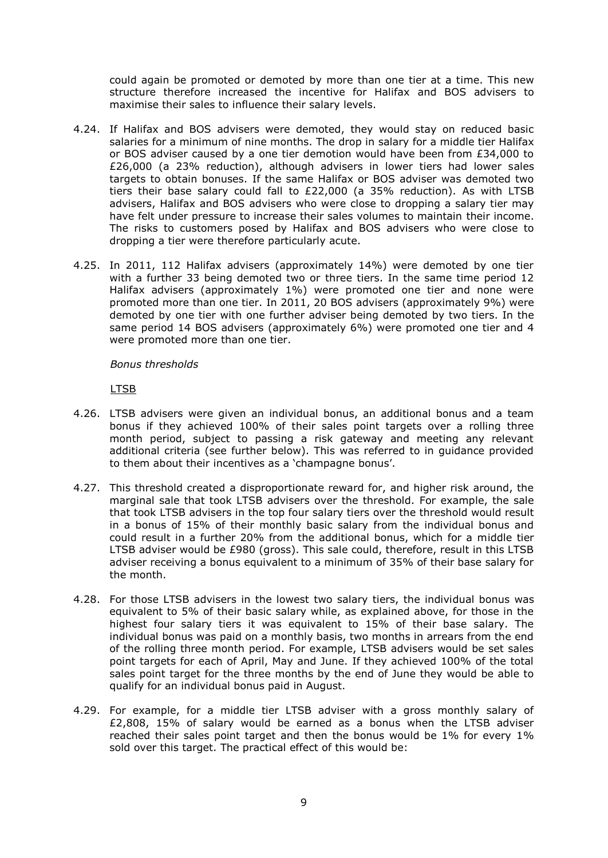could again be promoted or demoted by more than one tier at a time. This new structure therefore increased the incentive for Halifax and BOS advisers to maximise their sales to influence their salary levels.

- 4.24. If Halifax and BOS advisers were demoted, they would stay on reduced basic salaries for a minimum of nine months. The drop in salary for a middle tier Halifax or BOS adviser caused by a one tier demotion would have been from £34,000 to £26,000 (a 23% reduction), although advisers in lower tiers had lower sales targets to obtain bonuses. If the same Halifax or BOS adviser was demoted two tiers their base salary could fall to £22,000 (a 35% reduction). As with LTSB advisers, Halifax and BOS advisers who were close to dropping a salary tier may have felt under pressure to increase their sales volumes to maintain their income. The risks to customers posed by Halifax and BOS advisers who were close to dropping a tier were therefore particularly acute.
- 4.25. In 2011, 112 Halifax advisers (approximately 14%) were demoted by one tier with a further 33 being demoted two or three tiers. In the same time period 12 Halifax advisers (approximately 1%) were promoted one tier and none were promoted more than one tier. In 2011, 20 BOS advisers (approximately 9%) were demoted by one tier with one further adviser being demoted by two tiers. In the same period 14 BOS advisers (approximately 6%) were promoted one tier and 4 were promoted more than one tier.

## *Bonus thresholds*

LTSB

- 4.26. LTSB advisers were given an individual bonus, an additional bonus and a team bonus if they achieved 100% of their sales point targets over a rolling three month period, subject to passing a risk gateway and meeting any relevant additional criteria (see further below). This was referred to in guidance provided to them about their incentives as a 'champagne bonus'.
- 4.27. This threshold created a disproportionate reward for, and higher risk around, the marginal sale that took LTSB advisers over the threshold. For example, the sale that took LTSB advisers in the top four salary tiers over the threshold would result in a bonus of 15% of their monthly basic salary from the individual bonus and could result in a further 20% from the additional bonus, which for a middle tier LTSB adviser would be £980 (gross). This sale could, therefore, result in this LTSB adviser receiving a bonus equivalent to a minimum of 35% of their base salary for the month.
- 4.28. For those LTSB advisers in the lowest two salary tiers, the individual bonus was equivalent to 5% of their basic salary while, as explained above, for those in the highest four salary tiers it was equivalent to 15% of their base salary. The individual bonus was paid on a monthly basis, two months in arrears from the end of the rolling three month period. For example, LTSB advisers would be set sales point targets for each of April, May and June. If they achieved 100% of the total sales point target for the three months by the end of June they would be able to qualify for an individual bonus paid in August.
- 4.29. For example, for a middle tier LTSB adviser with a gross monthly salary of £2,808, 15% of salary would be earned as a bonus when the LTSB adviser reached their sales point target and then the bonus would be 1% for every 1% sold over this target. The practical effect of this would be: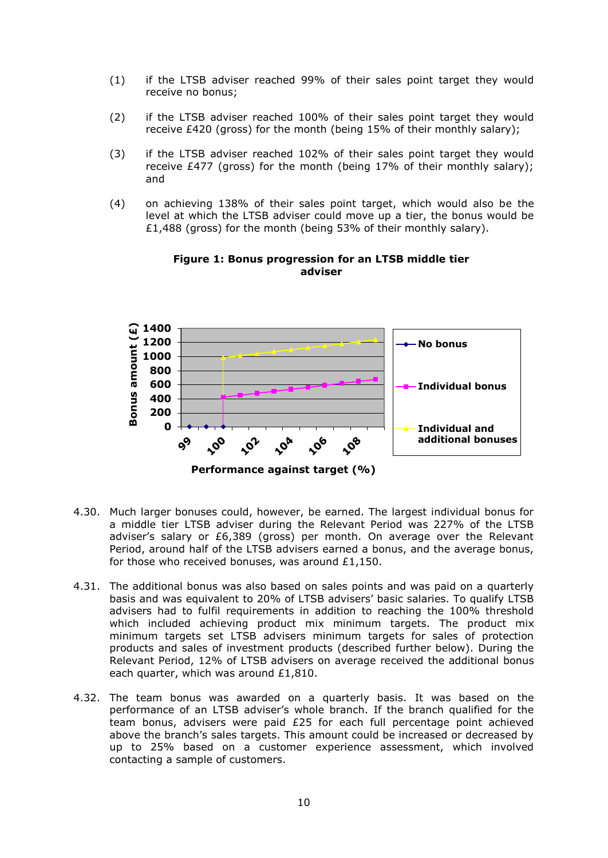- (1) if the LTSB adviser reached 99% of their sales point target they would receive no bonus;
- (2) if the LTSB adviser reached 100% of their sales point target they would receive £420 (gross) for the month (being 15% of their monthly salary);
- (3) if the LTSB adviser reached 102% of their sales point target they would receive £477 (gross) for the month (being 17% of their monthly salary); and
- (4) on achieving 138% of their sales point target, which would also be the level at which the LTSB adviser could move up a tier, the bonus would be £1,488 (gross) for the month (being 53% of their monthly salary).



#### **Figure 1: Bonus progression for an LTSB middle tier adviser**

- 4.30. Much larger bonuses could, however, be earned. The largest individual bonus for a middle tier LTSB adviser during the Relevant Period was 227% of the LTSB adviser's salary or £6,389 (gross) per month. On average over the Relevant Period, around half of the LTSB advisers earned a bonus, and the average bonus, for those who received bonuses, was around £1,150.
- 4.31. The additional bonus was also based on sales points and was paid on a quarterly basis and was equivalent to 20% of LTSB advisers' basic salaries. To qualify LTSB advisers had to fulfil requirements in addition to reaching the 100% threshold which included achieving product mix minimum targets. The product mix minimum targets set LTSB advisers minimum targets for sales of protection products and sales of investment products (described further below). During the Relevant Period, 12% of LTSB advisers on average received the additional bonus each quarter, which was around £1,810.
- 4.32. The team bonus was awarded on a quarterly basis. It was based on the performance of an LTSB adviser's whole branch. If the branch qualified for the team bonus, advisers were paid £25 for each full percentage point achieved above the branch's sales targets. This amount could be increased or decreased by up to 25% based on a customer experience assessment, which involved contacting a sample of customers.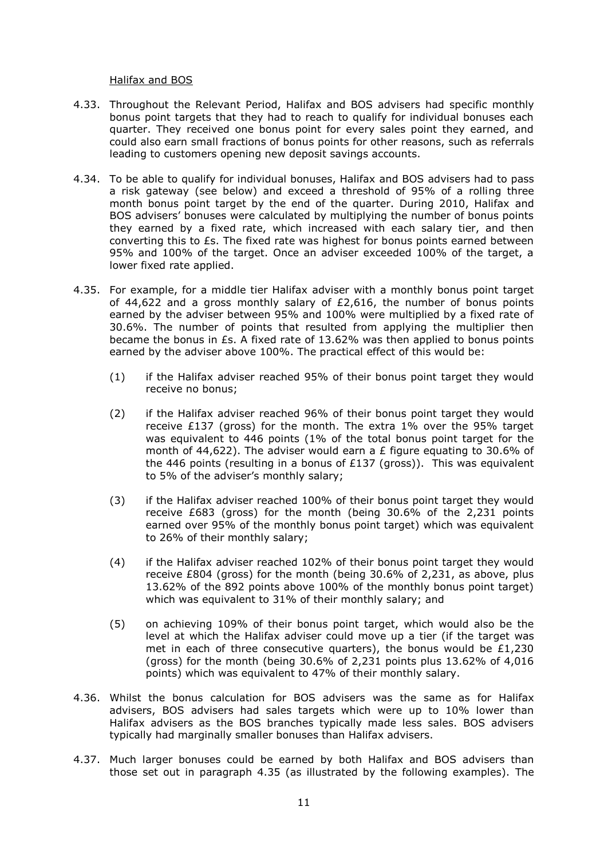#### Halifax and BOS

- 4.33. Throughout the Relevant Period, Halifax and BOS advisers had specific monthly bonus point targets that they had to reach to qualify for individual bonuses each quarter. They received one bonus point for every sales point they earned, and could also earn small fractions of bonus points for other reasons, such as referrals leading to customers opening new deposit savings accounts.
- 4.34. To be able to qualify for individual bonuses, Halifax and BOS advisers had to pass a risk gateway (see below) and exceed a threshold of 95% of a rolling three month bonus point target by the end of the quarter. During 2010, Halifax and BOS advisers' bonuses were calculated by multiplying the number of bonus points they earned by a fixed rate, which increased with each salary tier, and then converting this to £s. The fixed rate was highest for bonus points earned between 95% and 100% of the target. Once an adviser exceeded 100% of the target, a lower fixed rate applied.
- 4.35. For example, for a middle tier Halifax adviser with a monthly bonus point target of 44,622 and a gross monthly salary of  $£2,616$ , the number of bonus points earned by the adviser between 95% and 100% were multiplied by a fixed rate of 30.6%. The number of points that resulted from applying the multiplier then became the bonus in £s. A fixed rate of 13.62% was then applied to bonus points earned by the adviser above 100%. The practical effect of this would be:
	- (1) if the Halifax adviser reached 95% of their bonus point target they would receive no bonus;
	- (2) if the Halifax adviser reached 96% of their bonus point target they would receive £137 (gross) for the month. The extra  $1\%$  over the 95% target was equivalent to 446 points (1% of the total bonus point target for the month of 44,622). The adviser would earn a £ figure equating to 30.6% of the 446 points (resulting in a bonus of  $E137$  (gross)). This was equivalent to 5% of the adviser's monthly salary;
	- (3) if the Halifax adviser reached 100% of their bonus point target they would receive £683 (gross) for the month (being 30.6% of the 2,231 points earned over 95% of the monthly bonus point target) which was equivalent to 26% of their monthly salary;
	- (4) if the Halifax adviser reached 102% of their bonus point target they would receive £804 (gross) for the month (being 30.6% of 2,231, as above, plus 13.62% of the 892 points above 100% of the monthly bonus point target) which was equivalent to 31% of their monthly salary; and
	- (5) on achieving 109% of their bonus point target, which would also be the level at which the Halifax adviser could move up a tier (if the target was met in each of three consecutive quarters), the bonus would be  $£1,230$ (gross) for the month (being 30.6% of 2,231 points plus 13.62% of 4,016 points) which was equivalent to 47% of their monthly salary.
- 4.36. Whilst the bonus calculation for BOS advisers was the same as for Halifax advisers, BOS advisers had sales targets which were up to 10% lower than Halifax advisers as the BOS branches typically made less sales. BOS advisers typically had marginally smaller bonuses than Halifax advisers.
- 4.37. Much larger bonuses could be earned by both Halifax and BOS advisers than those set out in paragraph 4.35 (as illustrated by the following examples). The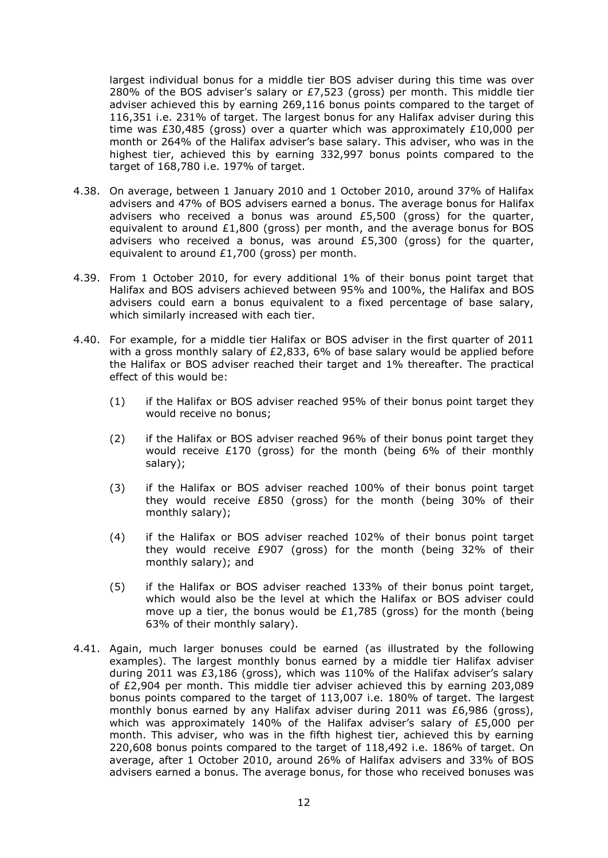largest individual bonus for a middle tier BOS adviser during this time was over 280% of the BOS adviser's salary or £7,523 (gross) per month. This middle tier adviser achieved this by earning 269,116 bonus points compared to the target of 116,351 i.e. 231% of target. The largest bonus for any Halifax adviser during this time was £30,485 (gross) over a quarter which was approximately £10,000 per month or 264% of the Halifax adviser's base salary. This adviser, who was in the highest tier, achieved this by earning 332,997 bonus points compared to the target of 168,780 i.e. 197% of target.

- 4.38. On average, between 1 January 2010 and 1 October 2010, around 37% of Halifax advisers and 47% of BOS advisers earned a bonus. The average bonus for Halifax advisers who received a bonus was around £5,500 (gross) for the quarter, equivalent to around  $£1,800$  (gross) per month, and the average bonus for BOS advisers who received a bonus, was around £5,300 (gross) for the quarter, equivalent to around £1,700 (gross) per month.
- 4.39. From 1 October 2010, for every additional 1% of their bonus point target that Halifax and BOS advisers achieved between 95% and 100%, the Halifax and BOS advisers could earn a bonus equivalent to a fixed percentage of base salary, which similarly increased with each tier.
- 4.40. For example, for a middle tier Halifax or BOS adviser in the first quarter of 2011 with a gross monthly salary of  $E2,833, 6%$  of base salary would be applied before the Halifax or BOS adviser reached their target and 1% thereafter. The practical effect of this would be:
	- (1) if the Halifax or BOS adviser reached 95% of their bonus point target they would receive no bonus;
	- (2) if the Halifax or BOS adviser reached 96% of their bonus point target they would receive £170 (gross) for the month (being 6% of their monthly salary);
	- (3) if the Halifax or BOS adviser reached 100% of their bonus point target they would receive £850 (gross) for the month (being 30% of their monthly salary);
	- (4) if the Halifax or BOS adviser reached 102% of their bonus point target they would receive £907 (gross) for the month (being 32% of their monthly salary); and
	- (5) if the Halifax or BOS adviser reached 133% of their bonus point target, which would also be the level at which the Halifax or BOS adviser could move up a tier, the bonus would be  $£1,785$  (gross) for the month (being 63% of their monthly salary).
- 4.41. Again, much larger bonuses could be earned (as illustrated by the following examples). The largest monthly bonus earned by a middle tier Halifax adviser during 2011 was £3,186 (gross), which was 110% of the Halifax adviser's salary of £2,904 per month. This middle tier adviser achieved this by earning 203,089 bonus points compared to the target of 113,007 i.e. 180% of target. The largest monthly bonus earned by any Halifax adviser during 2011 was £6,986 (gross), which was approximately 140% of the Halifax adviser's salary of  $£5,000$  per month. This adviser, who was in the fifth highest tier, achieved this by earning 220,608 bonus points compared to the target of 118,492 i.e. 186% of target. On average, after 1 October 2010, around 26% of Halifax advisers and 33% of BOS advisers earned a bonus. The average bonus, for those who received bonuses was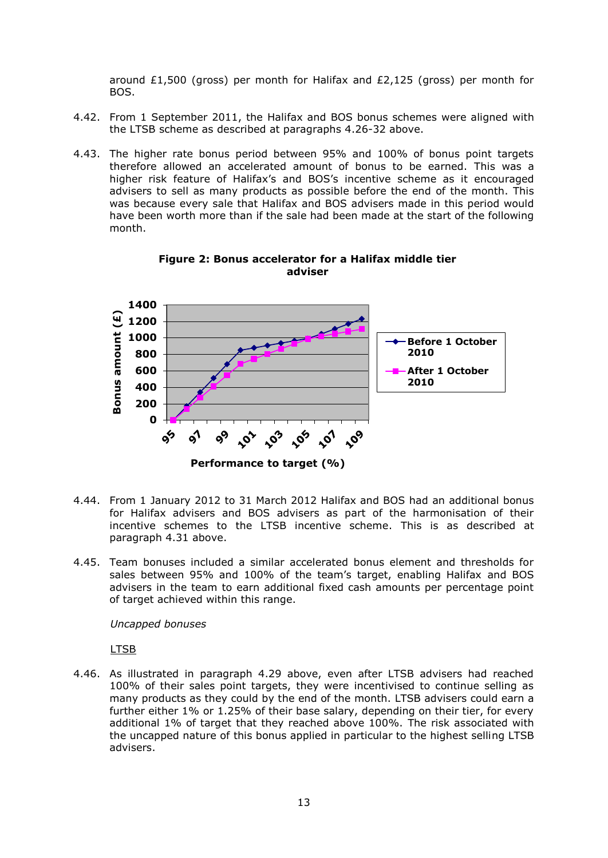around £1,500 (gross) per month for Halifax and  $E2,125$  (gross) per month for BOS.

- 4.42. From 1 September 2011, the Halifax and BOS bonus schemes were aligned with the LTSB scheme as described at paragraphs 4.26-32 above.
- 4.43. The higher rate bonus period between 95% and 100% of bonus point targets therefore allowed an accelerated amount of bonus to be earned. This was a higher risk feature of Halifax's and BOS's incentive scheme as it encouraged advisers to sell as many products as possible before the end of the month. This was because every sale that Halifax and BOS advisers made in this period would have been worth more than if the sale had been made at the start of the following month.



**Figure 2: Bonus accelerator for a Halifax middle tier adviser**

- 4.44. From 1 January 2012 to 31 March 2012 Halifax and BOS had an additional bonus for Halifax advisers and BOS advisers as part of the harmonisation of their incentive schemes to the LTSB incentive scheme. This is as described at paragraph 4.31 above.
- 4.45. Team bonuses included a similar accelerated bonus element and thresholds for sales between 95% and 100% of the team's target, enabling Halifax and BOS advisers in the team to earn additional fixed cash amounts per percentage point of target achieved within this range.

*Uncapped bonuses*

LTSB

4.46. As illustrated in paragraph 4.29 above, even after LTSB advisers had reached 100% of their sales point targets, they were incentivised to continue selling as many products as they could by the end of the month. LTSB advisers could earn a further either 1% or 1.25% of their base salary, depending on their tier, for every additional 1% of target that they reached above 100%. The risk associated with the uncapped nature of this bonus applied in particular to the highest selling LTSB advisers.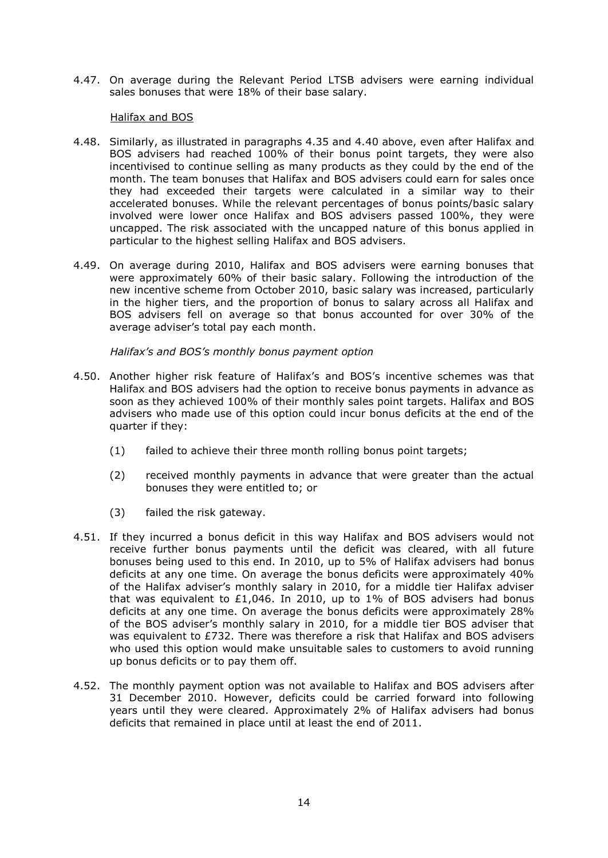4.47. On average during the Relevant Period LTSB advisers were earning individual sales bonuses that were 18% of their base salary.

## Halifax and BOS

- 4.48. Similarly, as illustrated in paragraphs 4.35 and 4.40 above, even after Halifax and BOS advisers had reached 100% of their bonus point targets, they were also incentivised to continue selling as many products as they could by the end of the month. The team bonuses that Halifax and BOS advisers could earn for sales once they had exceeded their targets were calculated in a similar way to their accelerated bonuses. While the relevant percentages of bonus points/basic salary involved were lower once Halifax and BOS advisers passed 100%, they were uncapped. The risk associated with the uncapped nature of this bonus applied in particular to the highest selling Halifax and BOS advisers.
- 4.49. On average during 2010, Halifax and BOS advisers were earning bonuses that were approximately 60% of their basic salary. Following the introduction of the new incentive scheme from October 2010, basic salary was increased, particularly in the higher tiers, and the proportion of bonus to salary across all Halifax and BOS advisers fell on average so that bonus accounted for over 30% of the average adviser's total pay each month.

# *Halifax's and BOS's monthly bonus payment option*

- 4.50. Another higher risk feature of Halifax's and BOS's incentive schemes was that Halifax and BOS advisers had the option to receive bonus payments in advance as soon as they achieved 100% of their monthly sales point targets. Halifax and BOS advisers who made use of this option could incur bonus deficits at the end of the quarter if they:
	- (1) failed to achieve their three month rolling bonus point targets;
	- (2) received monthly payments in advance that were greater than the actual bonuses they were entitled to; or
	- (3) failed the risk gateway.
- 4.51. If they incurred a bonus deficit in this way Halifax and BOS advisers would not receive further bonus payments until the deficit was cleared, with all future bonuses being used to this end. In 2010, up to 5% of Halifax advisers had bonus deficits at any one time. On average the bonus deficits were approximately 40% of the Halifax adviser's monthly salary in 2010, for a middle tier Halifax adviser that was equivalent to £1,046. In 2010, up to 1% of BOS advisers had bonus deficits at any one time. On average the bonus deficits were approximately 28% of the BOS adviser's monthly salary in 2010, for a middle tier BOS adviser that was equivalent to £732. There was therefore a risk that Halifax and BOS advisers who used this option would make unsuitable sales to customers to avoid running up bonus deficits or to pay them off.
- 4.52. The monthly payment option was not available to Halifax and BOS advisers after 31 December 2010. However, deficits could be carried forward into following years until they were cleared. Approximately 2% of Halifax advisers had bonus deficits that remained in place until at least the end of 2011.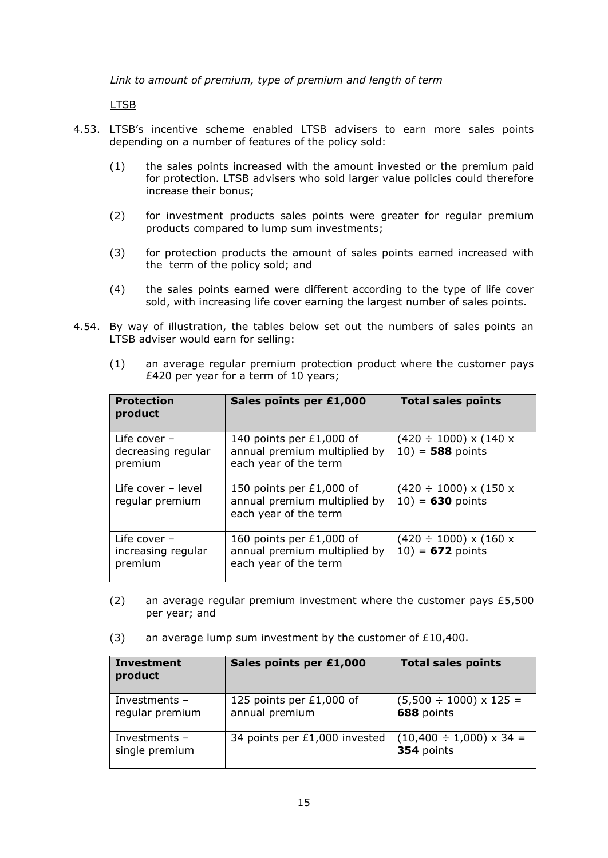*Link to amount of premium, type of premium and length of term*

LTSB

- 4.53. LTSB's incentive scheme enabled LTSB advisers to earn more sales points depending on a number of features of the policy sold:
	- (1) the sales points increased with the amount invested or the premium paid for protection. LTSB advisers who sold larger value policies could therefore increase their bonus;
	- (2) for investment products sales points were greater for regular premium products compared to lump sum investments;
	- (3) for protection products the amount of sales points earned increased with the term of the policy sold; and
	- (4) the sales points earned were different according to the type of life cover sold, with increasing life cover earning the largest number of sales points.
- 4.54. By way of illustration, the tables below set out the numbers of sales points an LTSB adviser would earn for selling:

| <b>Protection</b><br>product                    | Sales points per £1,000                                                             | <b>Total sales points</b>                                  |
|-------------------------------------------------|-------------------------------------------------------------------------------------|------------------------------------------------------------|
| Life cover $-$<br>decreasing regular<br>premium | 140 points per £1,000 of<br>annual premium multiplied by<br>each year of the term   | $(420 \div 1000) \times (140 \times$<br>$10) = 588$ points |
| Life cover - level<br>regular premium           | 150 points per £1,000 of<br>annual premium multiplied by<br>each year of the term   | $(420 \div 1000) \times (150 \times$<br>$10) = 630$ points |
| Life cover -<br>increasing regular<br>premium   | 160 points per $£1,000$ of<br>annual premium multiplied by<br>each year of the term | $(420 \div 1000) \times (160 \times$<br>$10) = 672$ points |

(1) an average regular premium protection product where the customer pays £420 per year for a term of 10 years;

- (2) an average regular premium investment where the customer pays  $£5,500$ per year; and
- (3) an average lump sum investment by the customer of  $£10,400$ .

| <b>Investment</b><br>product       | Sales points per £1,000                    | <b>Total sales points</b>                       |
|------------------------------------|--------------------------------------------|-------------------------------------------------|
| Investments $-$<br>regular premium | 125 points per £1,000 of<br>annual premium | $(5,500 \div 1000) \times 125 =$<br>688 points  |
| Investments $-$<br>single premium  | 34 points per £1,000 invested              | $(10,400 \div 1,000) \times 34 =$<br>354 points |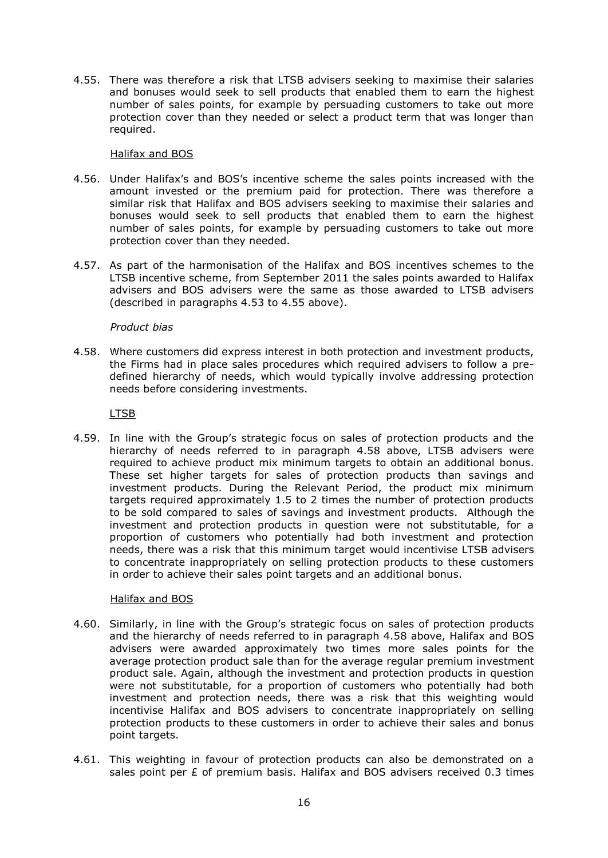4.55. There was therefore a risk that LTSB advisers seeking to maximise their salaries and bonuses would seek to sell products that enabled them to earn the highest number of sales points, for example by persuading customers to take out more protection cover than they needed or select a product term that was longer than required.

# Halifax and BOS

- 4.56. Under Halifax's and BOS's incentive scheme the sales points increased with the amount invested or the premium paid for protection. There was therefore a similar risk that Halifax and BOS advisers seeking to maximise their salaries and bonuses would seek to sell products that enabled them to earn the highest number of sales points, for example by persuading customers to take out more protection cover than they needed.
- 4.57. As part of the harmonisation of the Halifax and BOS incentives schemes to the LTSB incentive scheme, from September 2011 the sales points awarded to Halifax advisers and BOS advisers were the same as those awarded to LTSB advisers (described in paragraphs 4.53 to 4.55 above).

# *Product bias*

4.58. Where customers did express interest in both protection and investment products, the Firms had in place sales procedures which required advisers to follow a predefined hierarchy of needs, which would typically involve addressing protection needs before considering investments.

# LTSB

4.59. In line with the Group's strategic focus on sales of protection products and the hierarchy of needs referred to in paragraph 4.58 above, LTSB advisers were required to achieve product mix minimum targets to obtain an additional bonus. These set higher targets for sales of protection products than savings and investment products. During the Relevant Period, the product mix minimum targets required approximately 1.5 to 2 times the number of protection products to be sold compared to sales of savings and investment products. Although the investment and protection products in question were not substitutable, for a proportion of customers who potentially had both investment and protection needs, there was a risk that this minimum target would incentivise LTSB advisers to concentrate inappropriately on selling protection products to these customers in order to achieve their sales point targets and an additional bonus.

# Halifax and BOS

- 4.60. Similarly, in line with the Group's strategic focus on sales of protection products and the hierarchy of needs referred to in paragraph 4.58 above, Halifax and BOS advisers were awarded approximately two times more sales points for the average protection product sale than for the average regular premium investment product sale. Again, although the investment and protection products in question were not substitutable, for a proportion of customers who potentially had both investment and protection needs, there was a risk that this weighting would incentivise Halifax and BOS advisers to concentrate inappropriately on selling protection products to these customers in order to achieve their sales and bonus point targets.
- 4.61. This weighting in favour of protection products can also be demonstrated on a sales point per  $E$  of premium basis. Halifax and BOS advisers received 0.3 times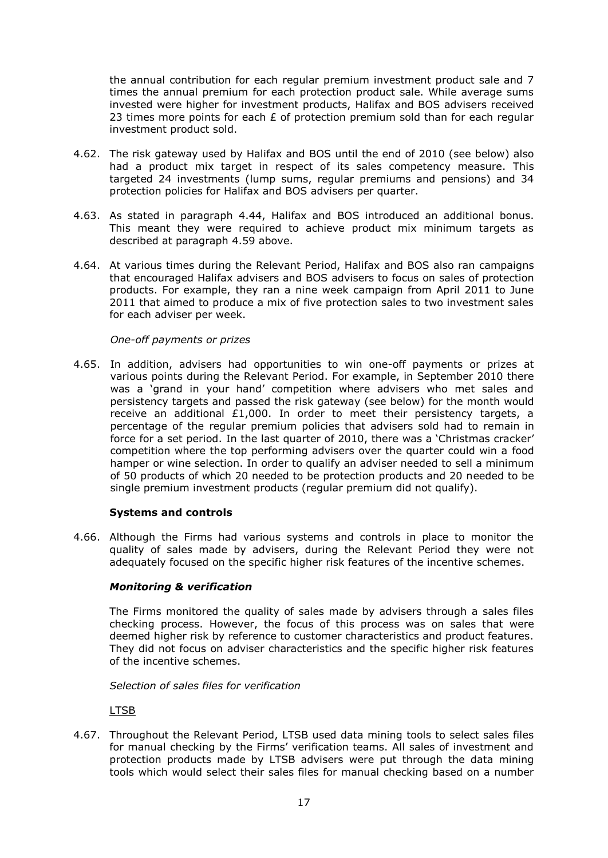the annual contribution for each regular premium investment product sale and 7 times the annual premium for each protection product sale. While average sums invested were higher for investment products, Halifax and BOS advisers received 23 times more points for each  $E$  of protection premium sold than for each regular investment product sold.

- 4.62. The risk gateway used by Halifax and BOS until the end of 2010 (see below) also had a product mix target in respect of its sales competency measure. This targeted 24 investments (lump sums, regular premiums and pensions) and 34 protection policies for Halifax and BOS advisers per quarter.
- 4.63. As stated in paragraph 4.44, Halifax and BOS introduced an additional bonus. This meant they were required to achieve product mix minimum targets as described at paragraph 4.59 above.
- 4.64. At various times during the Relevant Period, Halifax and BOS also ran campaigns that encouraged Halifax advisers and BOS advisers to focus on sales of protection products. For example, they ran a nine week campaign from April 2011 to June 2011 that aimed to produce a mix of five protection sales to two investment sales for each adviser per week.

# *One-off payments or prizes*

4.65. In addition, advisers had opportunities to win one-off payments or prizes at various points during the Relevant Period. For example, in September 2010 there was a 'grand in your hand' competition where advisers who met sales and persistency targets and passed the risk gateway (see below) for the month would receive an additional £1,000. In order to meet their persistency targets, a percentage of the regular premium policies that advisers sold had to remain in force for a set period. In the last quarter of 2010, there was a 'Christmas cracker' competition where the top performing advisers over the quarter could win a food hamper or wine selection. In order to qualify an adviser needed to sell a minimum of 50 products of which 20 needed to be protection products and 20 needed to be single premium investment products (regular premium did not qualify).

# **Systems and controls**

4.66. Although the Firms had various systems and controls in place to monitor the quality of sales made by advisers, during the Relevant Period they were not adequately focused on the specific higher risk features of the incentive schemes.

# *Monitoring & verification*

The Firms monitored the quality of sales made by advisers through a sales files checking process. However, the focus of this process was on sales that were deemed higher risk by reference to customer characteristics and product features. They did not focus on adviser characteristics and the specific higher risk features of the incentive schemes.

*Selection of sales files for verification*

LTSB

4.67. Throughout the Relevant Period, LTSB used data mining tools to select sales files for manual checking by the Firms' verification teams. All sales of investment and protection products made by LTSB advisers were put through the data mining tools which would select their sales files for manual checking based on a number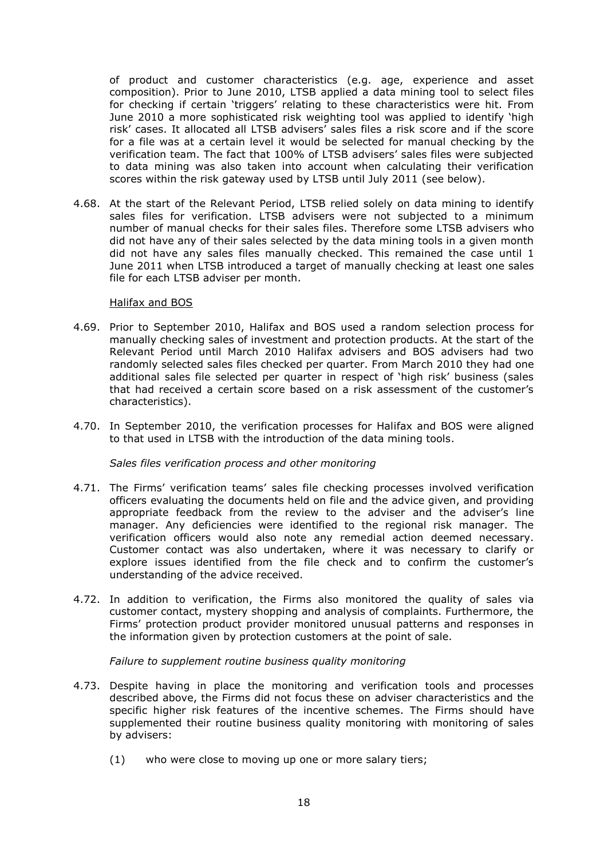of product and customer characteristics (e.g. age, experience and asset composition). Prior to June 2010, LTSB applied a data mining tool to select files for checking if certain 'triggers' relating to these characteristics were hit. From June 2010 a more sophisticated risk weighting tool was applied to identify 'high risk' cases. It allocated all LTSB advisers' sales files a risk score and if the score for a file was at a certain level it would be selected for manual checking by the verification team. The fact that 100% of LTSB advisers' sales files were subjected to data mining was also taken into account when calculating their verification scores within the risk gateway used by LTSB until July 2011 (see below).

4.68. At the start of the Relevant Period, LTSB relied solely on data mining to identify sales files for verification. LTSB advisers were not subjected to a minimum number of manual checks for their sales files. Therefore some LTSB advisers who did not have any of their sales selected by the data mining tools in a given month did not have any sales files manually checked. This remained the case until 1 June 2011 when LTSB introduced a target of manually checking at least one sales file for each LTSB adviser per month.

## Halifax and BOS

- 4.69. Prior to September 2010, Halifax and BOS used a random selection process for manually checking sales of investment and protection products. At the start of the Relevant Period until March 2010 Halifax advisers and BOS advisers had two randomly selected sales files checked per quarter. From March 2010 they had one additional sales file selected per quarter in respect of 'high risk' business (sales that had received a certain score based on a risk assessment of the customer's characteristics).
- 4.70. In September 2010, the verification processes for Halifax and BOS were aligned to that used in LTSB with the introduction of the data mining tools.

# *Sales files verification process and other monitoring*

- 4.71. The Firms' verification teams' sales file checking processes involved verification officers evaluating the documents held on file and the advice given, and providing appropriate feedback from the review to the adviser and the adviser's line manager. Any deficiencies were identified to the regional risk manager. The verification officers would also note any remedial action deemed necessary. Customer contact was also undertaken, where it was necessary to clarify or explore issues identified from the file check and to confirm the customer's understanding of the advice received.
- 4.72. In addition to verification, the Firms also monitored the quality of sales via customer contact, mystery shopping and analysis of complaints. Furthermore, the Firms' protection product provider monitored unusual patterns and responses in the information given by protection customers at the point of sale.

# *Failure to supplement routine business quality monitoring*

- 4.73. Despite having in place the monitoring and verification tools and processes described above, the Firms did not focus these on adviser characteristics and the specific higher risk features of the incentive schemes. The Firms should have supplemented their routine business quality monitoring with monitoring of sales by advisers:
	- (1) who were close to moving up one or more salary tiers;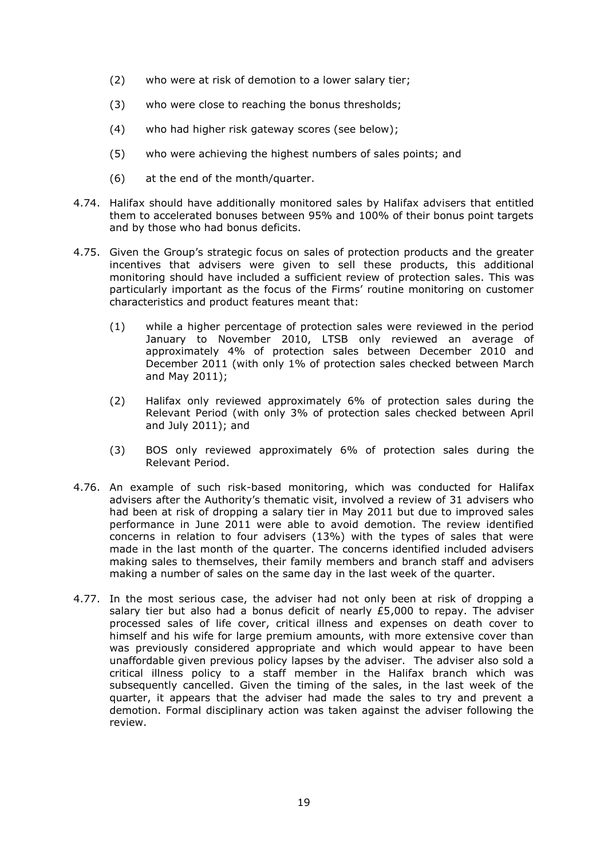- (2) who were at risk of demotion to a lower salary tier;
- (3) who were close to reaching the bonus thresholds;
- (4) who had higher risk gateway scores (see below);
- (5) who were achieving the highest numbers of sales points; and
- (6) at the end of the month/quarter.
- 4.74. Halifax should have additionally monitored sales by Halifax advisers that entitled them to accelerated bonuses between 95% and 100% of their bonus point targets and by those who had bonus deficits.
- 4.75. Given the Group's strategic focus on sales of protection products and the greater incentives that advisers were given to sell these products, this additional monitoring should have included a sufficient review of protection sales. This was particularly important as the focus of the Firms' routine monitoring on customer characteristics and product features meant that:
	- (1) while a higher percentage of protection sales were reviewed in the period January to November 2010, LTSB only reviewed an average of approximately 4% of protection sales between December 2010 and December 2011 (with only 1% of protection sales checked between March and May 2011);
	- (2) Halifax only reviewed approximately 6% of protection sales during the Relevant Period (with only 3% of protection sales checked between April and July 2011); and
	- (3) BOS only reviewed approximately 6% of protection sales during the Relevant Period.
- 4.76. An example of such risk-based monitoring, which was conducted for Halifax advisers after the Authority's thematic visit, involved a review of 31 advisers who had been at risk of dropping a salary tier in May 2011 but due to improved sales performance in June 2011 were able to avoid demotion. The review identified concerns in relation to four advisers (13%) with the types of sales that were made in the last month of the quarter. The concerns identified included advisers making sales to themselves, their family members and branch staff and advisers making a number of sales on the same day in the last week of the quarter.
- 4.77. In the most serious case, the adviser had not only been at risk of dropping a salary tier but also had a bonus deficit of nearly  $£5,000$  to repay. The adviser processed sales of life cover, critical illness and expenses on death cover to himself and his wife for large premium amounts, with more extensive cover than was previously considered appropriate and which would appear to have been unaffordable given previous policy lapses by the adviser. The adviser also sold a critical illness policy to a staff member in the Halifax branch which was subsequently cancelled. Given the timing of the sales, in the last week of the quarter, it appears that the adviser had made the sales to try and prevent a demotion. Formal disciplinary action was taken against the adviser following the review.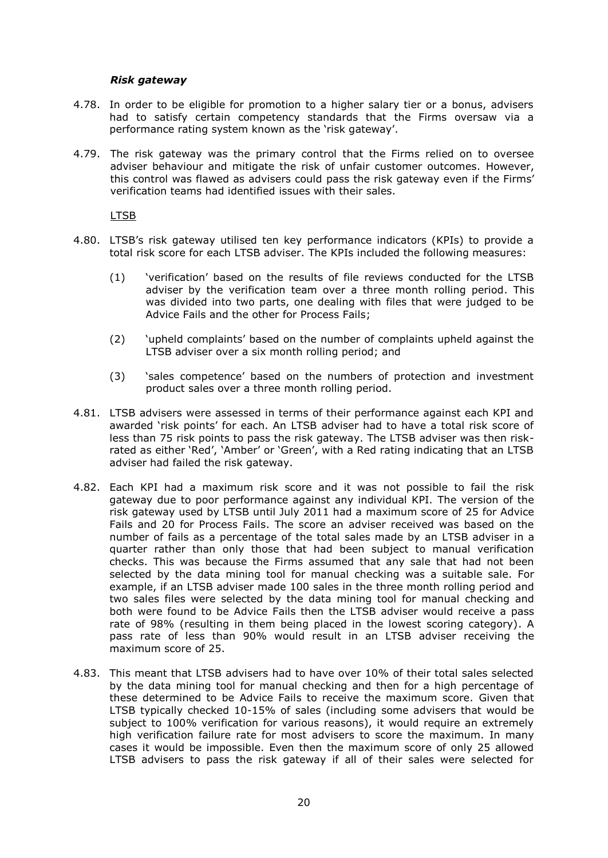## *Risk gateway*

- 4.78. In order to be eligible for promotion to a higher salary tier or a bonus, advisers had to satisfy certain competency standards that the Firms oversaw via a performance rating system known as the 'risk gateway'.
- 4.79. The risk gateway was the primary control that the Firms relied on to oversee adviser behaviour and mitigate the risk of unfair customer outcomes. However, this control was flawed as advisers could pass the risk gateway even if the Firms' verification teams had identified issues with their sales.

LTSB

- 4.80. LTSB's risk gateway utilised ten key performance indicators (KPIs) to provide a total risk score for each LTSB adviser. The KPIs included the following measures:
	- (1) 'verification' based on the results of file reviews conducted for the LTSB adviser by the verification team over a three month rolling period. This was divided into two parts, one dealing with files that were judged to be Advice Fails and the other for Process Fails;
	- (2) 'upheld complaints' based on the number of complaints upheld against the LTSB adviser over a six month rolling period; and
	- (3) 'sales competence' based on the numbers of protection and investment product sales over a three month rolling period.
- 4.81. LTSB advisers were assessed in terms of their performance against each KPI and awarded 'risk points' for each. An LTSB adviser had to have a total risk score of less than 75 risk points to pass the risk gateway. The LTSB adviser was then riskrated as either 'Red', 'Amber' or 'Green', with a Red rating indicating that an LTSB adviser had failed the risk gateway.
- 4.82. Each KPI had a maximum risk score and it was not possible to fail the risk gateway due to poor performance against any individual KPI. The version of the risk gateway used by LTSB until July 2011 had a maximum score of 25 for Advice Fails and 20 for Process Fails. The score an adviser received was based on the number of fails as a percentage of the total sales made by an LTSB adviser in a quarter rather than only those that had been subject to manual verification checks. This was because the Firms assumed that any sale that had not been selected by the data mining tool for manual checking was a suitable sale. For example, if an LTSB adviser made 100 sales in the three month rolling period and two sales files were selected by the data mining tool for manual checking and both were found to be Advice Fails then the LTSB adviser would receive a pass rate of 98% (resulting in them being placed in the lowest scoring category). A pass rate of less than 90% would result in an LTSB adviser receiving the maximum score of 25.
- 4.83. This meant that LTSB advisers had to have over 10% of their total sales selected by the data mining tool for manual checking and then for a high percentage of these determined to be Advice Fails to receive the maximum score. Given that LTSB typically checked 10-15% of sales (including some advisers that would be subject to 100% verification for various reasons), it would require an extremely high verification failure rate for most advisers to score the maximum. In many cases it would be impossible. Even then the maximum score of only 25 allowed LTSB advisers to pass the risk gateway if all of their sales were selected for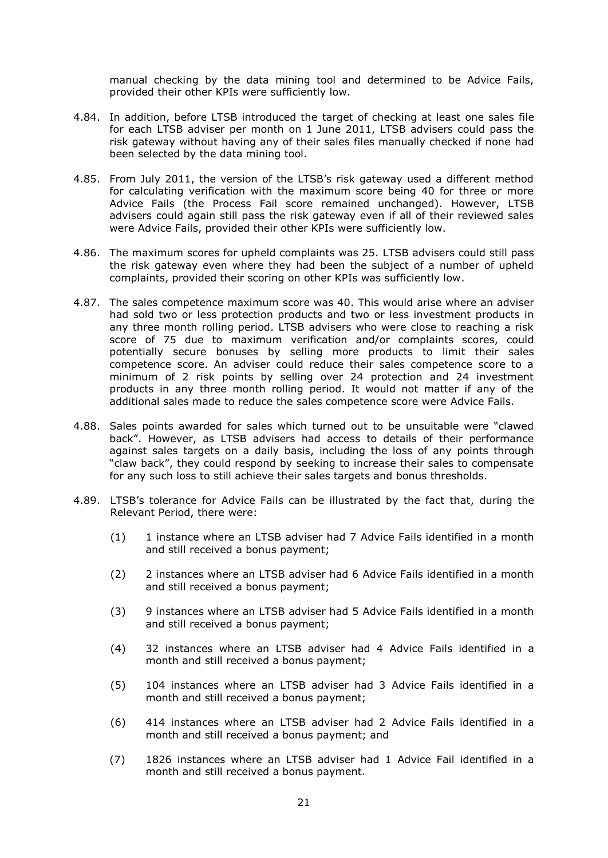manual checking by the data mining tool and determined to be Advice Fails, provided their other KPIs were sufficiently low.

- 4.84. In addition, before LTSB introduced the target of checking at least one sales file for each LTSB adviser per month on 1 June 2011, LTSB advisers could pass the risk gateway without having any of their sales files manually checked if none had been selected by the data mining tool.
- 4.85. From July 2011, the version of the LTSB's risk gateway used a different method for calculating verification with the maximum score being 40 for three or more Advice Fails (the Process Fail score remained unchanged). However, LTSB advisers could again still pass the risk gateway even if all of their reviewed sales were Advice Fails, provided their other KPIs were sufficiently low.
- 4.86. The maximum scores for upheld complaints was 25. LTSB advisers could still pass the risk gateway even where they had been the subject of a number of upheld complaints, provided their scoring on other KPIs was sufficiently low.
- 4.87. The sales competence maximum score was 40. This would arise where an adviser had sold two or less protection products and two or less investment products in any three month rolling period. LTSB advisers who were close to reaching a risk score of 75 due to maximum verification and/or complaints scores, could potentially secure bonuses by selling more products to limit their sales competence score. An adviser could reduce their sales competence score to a minimum of 2 risk points by selling over 24 protection and 24 investment products in any three month rolling period. It would not matter if any of the additional sales made to reduce the sales competence score were Advice Fails.
- 4.88. Sales points awarded for sales which turned out to be unsuitable were "clawed back". However, as LTSB advisers had access to details of their performance against sales targets on a daily basis, including the loss of any points through "claw back", they could respond by seeking to increase their sales to compensate for any such loss to still achieve their sales targets and bonus thresholds.
- 4.89. LTSB's tolerance for Advice Fails can be illustrated by the fact that, during the Relevant Period, there were:
	- (1) 1 instance where an LTSB adviser had 7 Advice Fails identified in a month and still received a bonus payment;
	- (2) 2 instances where an LTSB adviser had 6 Advice Fails identified in a month and still received a bonus payment;
	- (3) 9 instances where an LTSB adviser had 5 Advice Fails identified in a month and still received a bonus payment;
	- (4) 32 instances where an LTSB adviser had 4 Advice Fails identified in a month and still received a bonus payment;
	- (5) 104 instances where an LTSB adviser had 3 Advice Fails identified in a month and still received a bonus payment;
	- (6) 414 instances where an LTSB adviser had 2 Advice Fails identified in a month and still received a bonus payment; and
	- (7) 1826 instances where an LTSB adviser had 1 Advice Fail identified in a month and still received a bonus payment.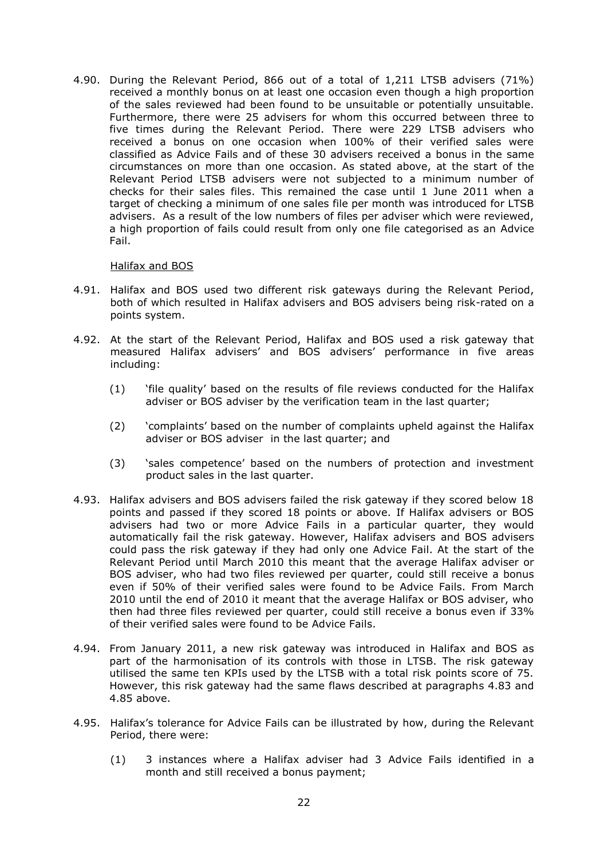4.90. During the Relevant Period, 866 out of a total of 1,211 LTSB advisers (71%) received a monthly bonus on at least one occasion even though a high proportion of the sales reviewed had been found to be unsuitable or potentially unsuitable. Furthermore, there were 25 advisers for whom this occurred between three to five times during the Relevant Period. There were 229 LTSB advisers who received a bonus on one occasion when 100% of their verified sales were classified as Advice Fails and of these 30 advisers received a bonus in the same circumstances on more than one occasion. As stated above, at the start of the Relevant Period LTSB advisers were not subjected to a minimum number of checks for their sales files. This remained the case until 1 June 2011 when a target of checking a minimum of one sales file per month was introduced for LTSB advisers. As a result of the low numbers of files per adviser which were reviewed, a high proportion of fails could result from only one file categorised as an Advice Fail.

## Halifax and BOS

- 4.91. Halifax and BOS used two different risk gateways during the Relevant Period, both of which resulted in Halifax advisers and BOS advisers being risk-rated on a points system.
- 4.92. At the start of the Relevant Period, Halifax and BOS used a risk gateway that measured Halifax advisers' and BOS advisers' performance in five areas including:
	- (1) 'file quality' based on the results of file reviews conducted for the Halifax adviser or BOS adviser by the verification team in the last quarter;
	- (2) 'complaints' based on the number of complaints upheld against the Halifax adviser or BOS adviser in the last quarter; and
	- (3) 'sales competence' based on the numbers of protection and investment product sales in the last quarter.
- 4.93. Halifax advisers and BOS advisers failed the risk gateway if they scored below 18 points and passed if they scored 18 points or above. If Halifax advisers or BOS advisers had two or more Advice Fails in a particular quarter, they would automatically fail the risk gateway. However, Halifax advisers and BOS advisers could pass the risk gateway if they had only one Advice Fail. At the start of the Relevant Period until March 2010 this meant that the average Halifax adviser or BOS adviser, who had two files reviewed per quarter, could still receive a bonus even if 50% of their verified sales were found to be Advice Fails. From March 2010 until the end of 2010 it meant that the average Halifax or BOS adviser, who then had three files reviewed per quarter, could still receive a bonus even if 33% of their verified sales were found to be Advice Fails.
- 4.94. From January 2011, a new risk gateway was introduced in Halifax and BOS as part of the harmonisation of its controls with those in LTSB. The risk gateway utilised the same ten KPIs used by the LTSB with a total risk points score of 75. However, this risk gateway had the same flaws described at paragraphs 4.83 and 4.85 above.
- 4.95. Halifax's tolerance for Advice Fails can be illustrated by how, during the Relevant Period, there were:
	- (1) 3 instances where a Halifax adviser had 3 Advice Fails identified in a month and still received a bonus payment;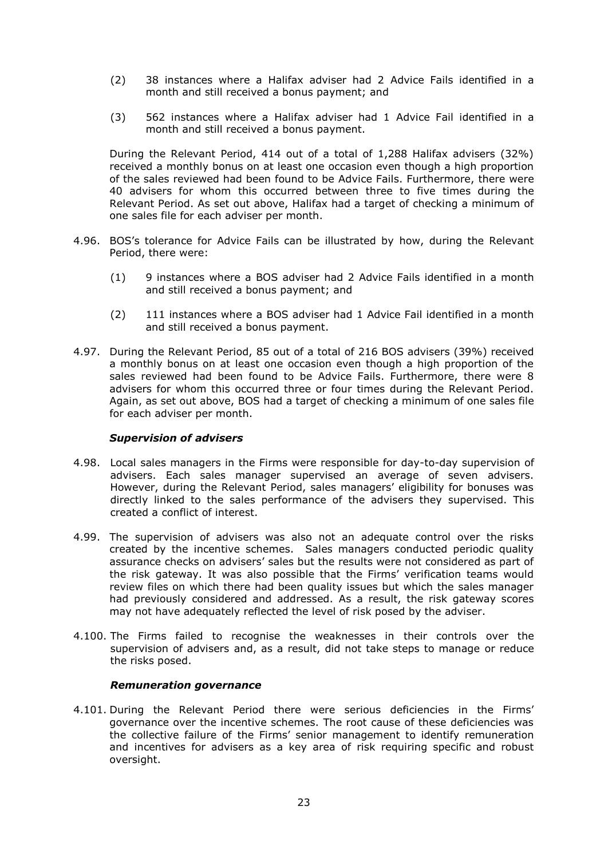- (2) 38 instances where a Halifax adviser had 2 Advice Fails identified in a month and still received a bonus payment; and
- (3) 562 instances where a Halifax adviser had 1 Advice Fail identified in a month and still received a bonus payment.

During the Relevant Period, 414 out of a total of 1,288 Halifax advisers (32%) received a monthly bonus on at least one occasion even though a high proportion of the sales reviewed had been found to be Advice Fails. Furthermore, there were 40 advisers for whom this occurred between three to five times during the Relevant Period. As set out above, Halifax had a target of checking a minimum of one sales file for each adviser per month.

- 4.96. BOS's tolerance for Advice Fails can be illustrated by how, during the Relevant Period, there were:
	- (1) 9 instances where a BOS adviser had 2 Advice Fails identified in a month and still received a bonus payment; and
	- (2) 111 instances where a BOS adviser had 1 Advice Fail identified in a month and still received a bonus payment.
- 4.97. During the Relevant Period, 85 out of a total of 216 BOS advisers (39%) received a monthly bonus on at least one occasion even though a high proportion of the sales reviewed had been found to be Advice Fails. Furthermore, there were 8 advisers for whom this occurred three or four times during the Relevant Period. Again, as set out above, BOS had a target of checking a minimum of one sales file for each adviser per month.

# *Supervision of advisers*

- 4.98. Local sales managers in the Firms were responsible for day-to-day supervision of advisers. Each sales manager supervised an average of seven advisers. However, during the Relevant Period, sales managers' eligibility for bonuses was directly linked to the sales performance of the advisers they supervised. This created a conflict of interest.
- 4.99. The supervision of advisers was also not an adequate control over the risks created by the incentive schemes. Sales managers conducted periodic quality assurance checks on advisers' sales but the results were not considered as part of the risk gateway. It was also possible that the Firms' verification teams would review files on which there had been quality issues but which the sales manager had previously considered and addressed. As a result, the risk gateway scores may not have adequately reflected the level of risk posed by the adviser.
- 4.100. The Firms failed to recognise the weaknesses in their controls over the supervision of advisers and, as a result, did not take steps to manage or reduce the risks posed.

#### *Remuneration governance*

4.101. During the Relevant Period there were serious deficiencies in the Firms' governance over the incentive schemes. The root cause of these deficiencies was the collective failure of the Firms' senior management to identify remuneration and incentives for advisers as a key area of risk requiring specific and robust oversight.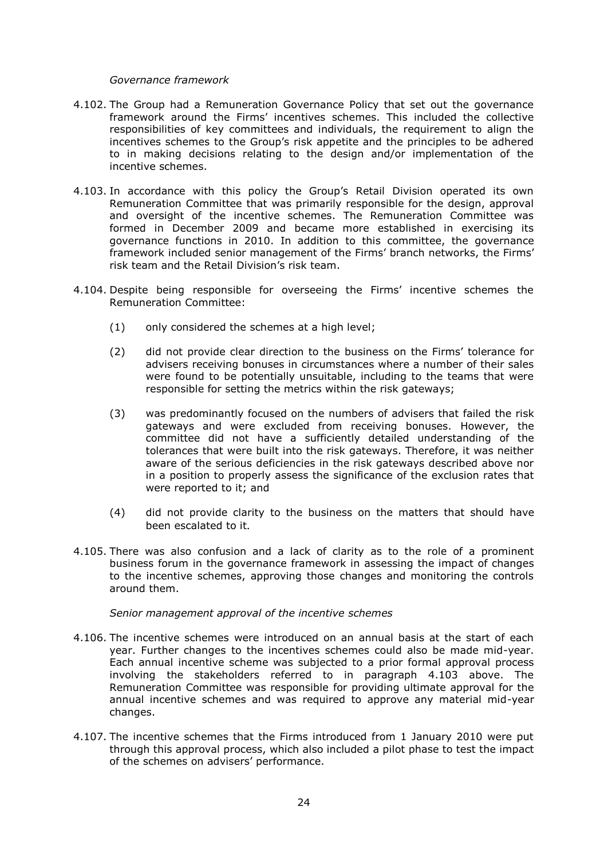#### *Governance framework*

- 4.102. The Group had a Remuneration Governance Policy that set out the governance framework around the Firms' incentives schemes. This included the collective responsibilities of key committees and individuals, the requirement to align the incentives schemes to the Group's risk appetite and the principles to be adhered to in making decisions relating to the design and/or implementation of the incentive schemes.
- 4.103. In accordance with this policy the Group's Retail Division operated its own Remuneration Committee that was primarily responsible for the design, approval and oversight of the incentive schemes. The Remuneration Committee was formed in December 2009 and became more established in exercising its governance functions in 2010. In addition to this committee, the governance framework included senior management of the Firms' branch networks, the Firms' risk team and the Retail Division's risk team.
- 4.104. Despite being responsible for overseeing the Firms' incentive schemes the Remuneration Committee:
	- (1) only considered the schemes at a high level;
	- (2) did not provide clear direction to the business on the Firms' tolerance for advisers receiving bonuses in circumstances where a number of their sales were found to be potentially unsuitable, including to the teams that were responsible for setting the metrics within the risk gateways;
	- (3) was predominantly focused on the numbers of advisers that failed the risk gateways and were excluded from receiving bonuses. However, the committee did not have a sufficiently detailed understanding of the tolerances that were built into the risk gateways. Therefore, it was neither aware of the serious deficiencies in the risk gateways described above nor in a position to properly assess the significance of the exclusion rates that were reported to it; and
	- (4) did not provide clarity to the business on the matters that should have been escalated to it.
- 4.105. There was also confusion and a lack of clarity as to the role of a prominent business forum in the governance framework in assessing the impact of changes to the incentive schemes, approving those changes and monitoring the controls around them.

#### *Senior management approval of the incentive schemes*

- 4.106. The incentive schemes were introduced on an annual basis at the start of each year. Further changes to the incentives schemes could also be made mid-year. Each annual incentive scheme was subjected to a prior formal approval process involving the stakeholders referred to in paragraph 4.103 above. The Remuneration Committee was responsible for providing ultimate approval for the annual incentive schemes and was required to approve any material mid-year changes.
- 4.107. The incentive schemes that the Firms introduced from 1 January 2010 were put through this approval process, which also included a pilot phase to test the impact of the schemes on advisers' performance.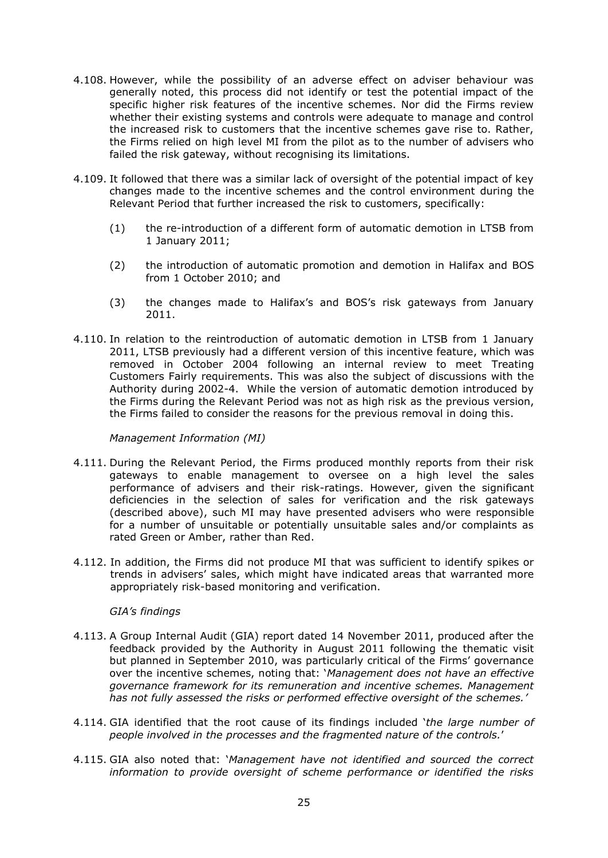- 4.108. However, while the possibility of an adverse effect on adviser behaviour was generally noted, this process did not identify or test the potential impact of the specific higher risk features of the incentive schemes. Nor did the Firms review whether their existing systems and controls were adequate to manage and control the increased risk to customers that the incentive schemes gave rise to. Rather, the Firms relied on high level MI from the pilot as to the number of advisers who failed the risk gateway, without recognising its limitations.
- 4.109. It followed that there was a similar lack of oversight of the potential impact of key changes made to the incentive schemes and the control environment during the Relevant Period that further increased the risk to customers, specifically:
	- (1) the re-introduction of a different form of automatic demotion in LTSB from 1 January 2011;
	- (2) the introduction of automatic promotion and demotion in Halifax and BOS from 1 October 2010; and
	- (3) the changes made to Halifax's and BOS's risk gateways from January 2011.
- 4.110. In relation to the reintroduction of automatic demotion in LTSB from 1 January 2011, LTSB previously had a different version of this incentive feature, which was removed in October 2004 following an internal review to meet Treating Customers Fairly requirements. This was also the subject of discussions with the Authority during 2002-4. While the version of automatic demotion introduced by the Firms during the Relevant Period was not as high risk as the previous version, the Firms failed to consider the reasons for the previous removal in doing this.

# *Management Information (MI)*

- 4.111. During the Relevant Period, the Firms produced monthly reports from their risk gateways to enable management to oversee on a high level the sales performance of advisers and their risk-ratings. However, given the significant deficiencies in the selection of sales for verification and the risk gateways (described above), such MI may have presented advisers who were responsible for a number of unsuitable or potentially unsuitable sales and/or complaints as rated Green or Amber, rather than Red.
- 4.112. In addition, the Firms did not produce MI that was sufficient to identify spikes or trends in advisers' sales, which might have indicated areas that warranted more appropriately risk-based monitoring and verification.

# *GIA's findings*

- 4.113. A Group Internal Audit (GIA) report dated 14 November 2011, produced after the feedback provided by the Authority in August 2011 following the thematic visit but planned in September 2010, was particularly critical of the Firms' governance over the incentive schemes, noting that: '*Management does not have an effective governance framework for its remuneration and incentive schemes. Management has not fully assessed the risks or performed effective oversight of the schemes.'*
- 4.114. GIA identified that the root cause of its findings included '*the large number of people involved in the processes and the fragmented nature of the controls.*'
- 4.115. GIA also noted that: '*Management have not identified and sourced the correct information to provide oversight of scheme performance or identified the risks*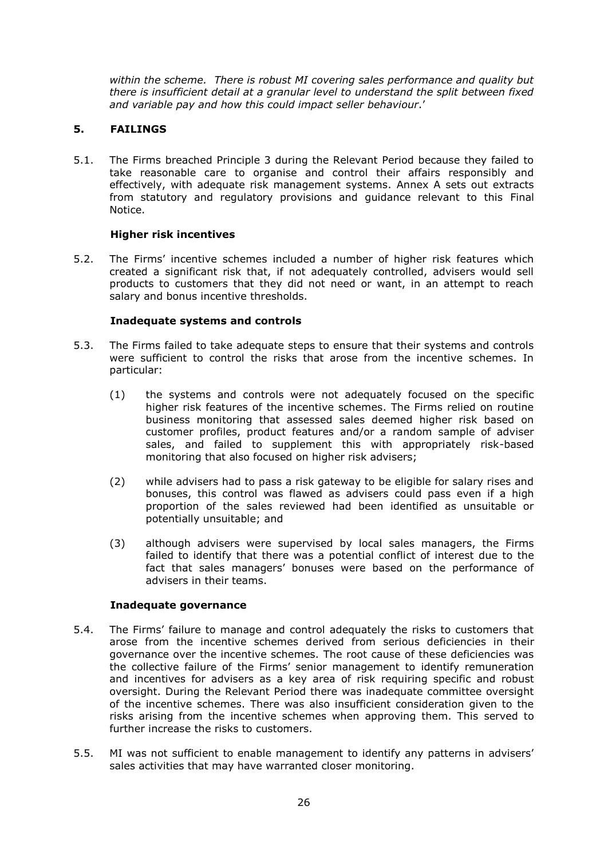*within the scheme. There is robust MI covering sales performance and quality but there is insufficient detail at a granular level to understand the split between fixed and variable pay and how this could impact seller behaviour*.'

# **5. FAILINGS**

5.1. The Firms breached Principle 3 during the Relevant Period because they failed to take reasonable care to organise and control their affairs responsibly and effectively, with adequate risk management systems. Annex A sets out extracts from statutory and regulatory provisions and guidance relevant to this Final Notice.

# **Higher risk incentives**

5.2. The Firms' incentive schemes included a number of higher risk features which created a significant risk that, if not adequately controlled, advisers would sell products to customers that they did not need or want, in an attempt to reach salary and bonus incentive thresholds.

# **Inadequate systems and controls**

- 5.3. The Firms failed to take adequate steps to ensure that their systems and controls were sufficient to control the risks that arose from the incentive schemes. In particular:
	- (1) the systems and controls were not adequately focused on the specific higher risk features of the incentive schemes. The Firms relied on routine business monitoring that assessed sales deemed higher risk based on customer profiles, product features and/or a random sample of adviser sales, and failed to supplement this with appropriately risk-based monitoring that also focused on higher risk advisers;
	- (2) while advisers had to pass a risk gateway to be eligible for salary rises and bonuses, this control was flawed as advisers could pass even if a high proportion of the sales reviewed had been identified as unsuitable or potentially unsuitable; and
	- (3) although advisers were supervised by local sales managers, the Firms failed to identify that there was a potential conflict of interest due to the fact that sales managers' bonuses were based on the performance of advisers in their teams.

# **Inadequate governance**

- 5.4. The Firms' failure to manage and control adequately the risks to customers that arose from the incentive schemes derived from serious deficiencies in their governance over the incentive schemes. The root cause of these deficiencies was the collective failure of the Firms' senior management to identify remuneration and incentives for advisers as a key area of risk requiring specific and robust oversight. During the Relevant Period there was inadequate committee oversight of the incentive schemes. There was also insufficient consideration given to the risks arising from the incentive schemes when approving them. This served to further increase the risks to customers.
- 5.5. MI was not sufficient to enable management to identify any patterns in advisers' sales activities that may have warranted closer monitoring.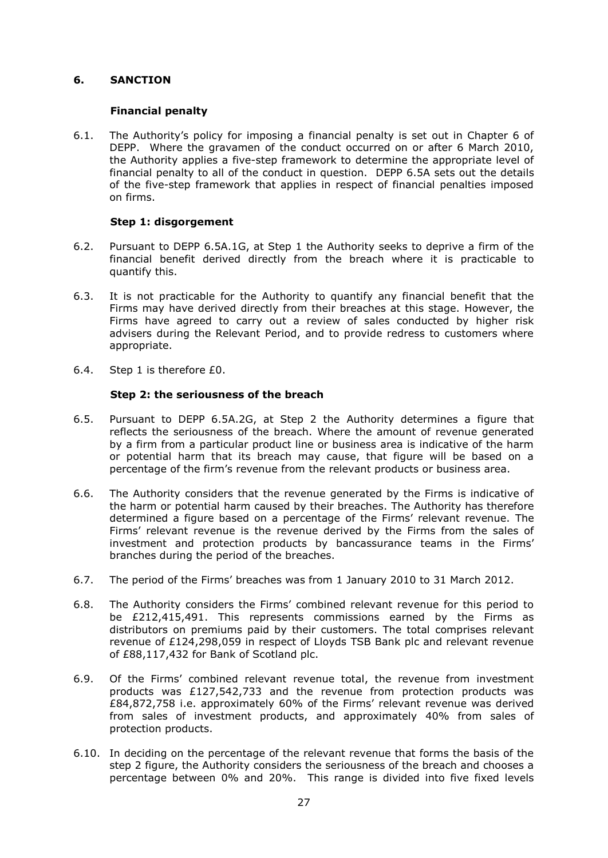# **6. SANCTION**

# **Financial penalty**

6.1. The Authority's policy for imposing a financial penalty is set out in Chapter 6 of DEPP. Where the gravamen of the conduct occurred on or after 6 March 2010, the Authority applies a five-step framework to determine the appropriate level of financial penalty to all of the conduct in question. DEPP 6.5A sets out the details of the five-step framework that applies in respect of financial penalties imposed on firms.

# **Step 1: disgorgement**

- 6.2. Pursuant to DEPP 6.5A.1G, at Step 1 the Authority seeks to deprive a firm of the financial benefit derived directly from the breach where it is practicable to quantify this.
- 6.3. It is not practicable for the Authority to quantify any financial benefit that the Firms may have derived directly from their breaches at this stage. However, the Firms have agreed to carry out a review of sales conducted by higher risk advisers during the Relevant Period, and to provide redress to customers where appropriate.
- 6.4. Step 1 is therefore £0.

# **Step 2: the seriousness of the breach**

- 6.5. Pursuant to DEPP 6.5A.2G, at Step 2 the Authority determines a figure that reflects the seriousness of the breach. Where the amount of revenue generated by a firm from a particular product line or business area is indicative of the harm or potential harm that its breach may cause, that figure will be based on a percentage of the firm's revenue from the relevant products or business area.
- 6.6. The Authority considers that the revenue generated by the Firms is indicative of the harm or potential harm caused by their breaches. The Authority has therefore determined a figure based on a percentage of the Firms' relevant revenue. The Firms' relevant revenue is the revenue derived by the Firms from the sales of investment and protection products by bancassurance teams in the Firms' branches during the period of the breaches.
- 6.7. The period of the Firms' breaches was from 1 January 2010 to 31 March 2012.
- 6.8. The Authority considers the Firms' combined relevant revenue for this period to be £212,415,491. This represents commissions earned by the Firms as distributors on premiums paid by their customers. The total comprises relevant revenue of £124,298,059 in respect of Lloyds TSB Bank plc and relevant revenue of £88,117,432 for Bank of Scotland plc.
- 6.9. Of the Firms' combined relevant revenue total, the revenue from investment products was £127,542,733 and the revenue from protection products was £84,872,758 i.e. approximately 60% of the Firms' relevant revenue was derived from sales of investment products, and approximately 40% from sales of protection products.
- 6.10. In deciding on the percentage of the relevant revenue that forms the basis of the step 2 figure, the Authority considers the seriousness of the breach and chooses a percentage between 0% and 20%. This range is divided into five fixed levels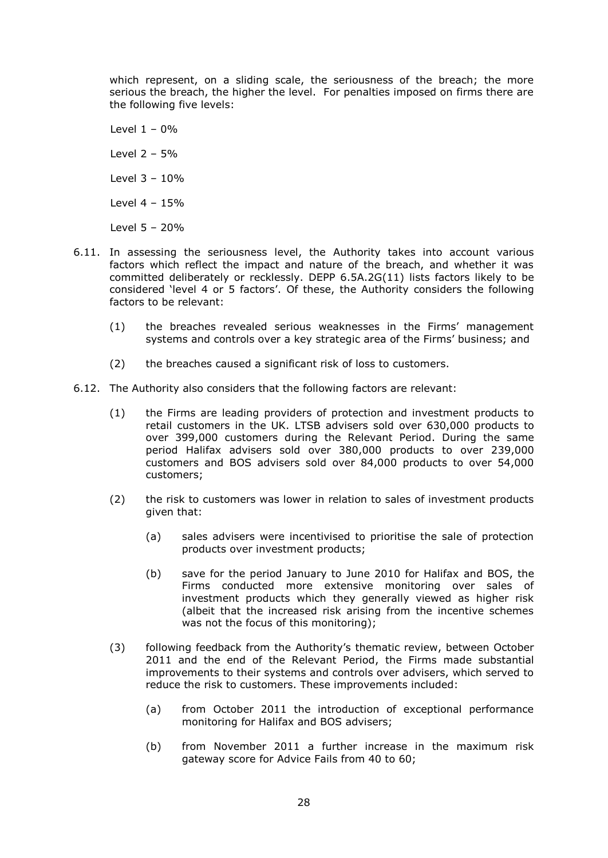which represent, on a sliding scale, the seriousness of the breach; the more serious the breach, the higher the level. For penalties imposed on firms there are the following five levels:

Level  $1 - 0%$ Level 2 – 5% Level 3 – 10% Level 4 – 15% Level 5 – 20%

- 6.11. In assessing the seriousness level, the Authority takes into account various factors which reflect the impact and nature of the breach, and whether it was committed deliberately or recklessly. DEPP 6.5A.2G(11) lists factors likely to be considered 'level 4 or 5 factors'. Of these, the Authority considers the following factors to be relevant:
	- (1) the breaches revealed serious weaknesses in the Firms' management systems and controls over a key strategic area of the Firms' business; and
	- (2) the breaches caused a significant risk of loss to customers.
- 6.12. The Authority also considers that the following factors are relevant:
	- (1) the Firms are leading providers of protection and investment products to retail customers in the UK. LTSB advisers sold over 630,000 products to over 399,000 customers during the Relevant Period. During the same period Halifax advisers sold over 380,000 products to over 239,000 customers and BOS advisers sold over 84,000 products to over 54,000 customers;
	- (2) the risk to customers was lower in relation to sales of investment products given that:
		- (a) sales advisers were incentivised to prioritise the sale of protection products over investment products;
		- (b) save for the period January to June 2010 for Halifax and BOS, the Firms conducted more extensive monitoring over sales of investment products which they generally viewed as higher risk (albeit that the increased risk arising from the incentive schemes was not the focus of this monitoring);
	- (3) following feedback from the Authority's thematic review, between October 2011 and the end of the Relevant Period, the Firms made substantial improvements to their systems and controls over advisers, which served to reduce the risk to customers. These improvements included:
		- (a) from October 2011 the introduction of exceptional performance monitoring for Halifax and BOS advisers;
		- (b) from November 2011 a further increase in the maximum risk gateway score for Advice Fails from 40 to 60;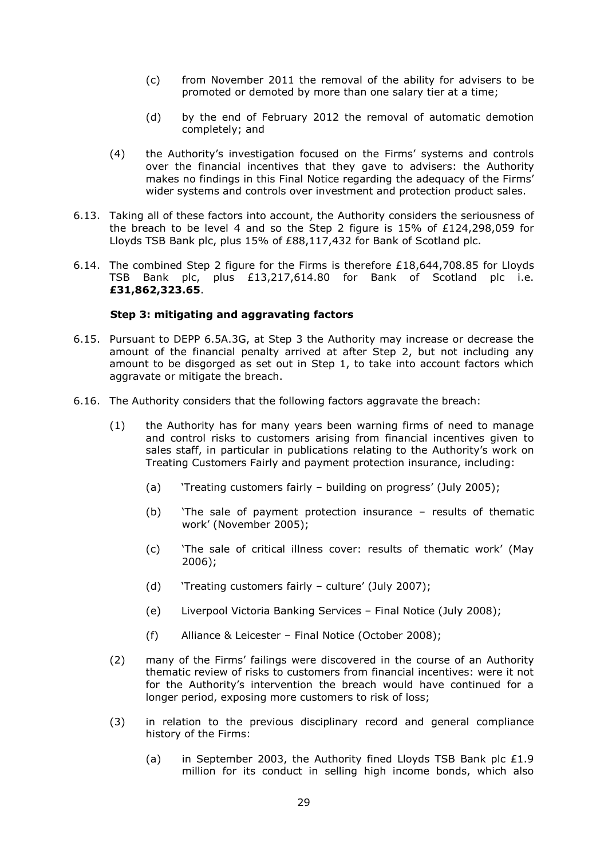- (c) from November 2011 the removal of the ability for advisers to be promoted or demoted by more than one salary tier at a time;
- (d) by the end of February 2012 the removal of automatic demotion completely; and
- (4) the Authority's investigation focused on the Firms' systems and controls over the financial incentives that they gave to advisers: the Authority makes no findings in this Final Notice regarding the adequacy of the Firms' wider systems and controls over investment and protection product sales.
- 6.13. Taking all of these factors into account, the Authority considers the seriousness of the breach to be level 4 and so the Step 2 figure is 15% of £124,298,059 for Lloyds TSB Bank plc, plus 15% of £88,117,432 for Bank of Scotland plc.
- 6.14. The combined Step 2 figure for the Firms is therefore £18,644,708.85 for Lloyds TSB Bank plc, plus £13,217,614.80 for Bank of Scotland plc i.e. **£31,862,323.65**.

# **Step 3: mitigating and aggravating factors**

- 6.15. Pursuant to DEPP 6.5A.3G, at Step 3 the Authority may increase or decrease the amount of the financial penalty arrived at after Step 2, but not including any amount to be disgorged as set out in Step 1, to take into account factors which aggravate or mitigate the breach.
- 6.16. The Authority considers that the following factors aggravate the breach:
	- (1) the Authority has for many years been warning firms of need to manage and control risks to customers arising from financial incentives given to sales staff, in particular in publications relating to the Authority's work on Treating Customers Fairly and payment protection insurance, including:
		- (a) 'Treating customers fairly building on progress' (July 2005);
		- (b) 'The sale of payment protection insurance results of thematic work' (November 2005);
		- (c) 'The sale of critical illness cover: results of thematic work' (May 2006);
		- (d) 'Treating customers fairly culture' (July 2007);
		- (e) Liverpool Victoria Banking Services Final Notice (July 2008);
		- (f) Alliance & Leicester Final Notice (October 2008);
	- (2) many of the Firms' failings were discovered in the course of an Authority thematic review of risks to customers from financial incentives: were it not for the Authority's intervention the breach would have continued for a longer period, exposing more customers to risk of loss;
	- (3) in relation to the previous disciplinary record and general compliance history of the Firms:
		- (a) in September 2003, the Authority fined Lloyds TSB Bank plc £1.9 million for its conduct in selling high income bonds, which also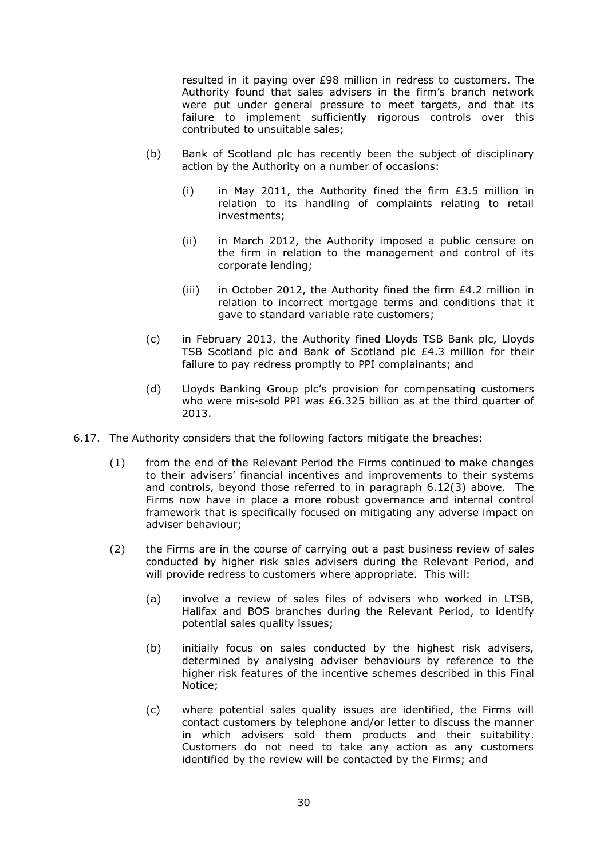resulted in it paying over £98 million in redress to customers. The Authority found that sales advisers in the firm's branch network were put under general pressure to meet targets, and that its failure to implement sufficiently rigorous controls over this contributed to unsuitable sales;

- (b) Bank of Scotland plc has recently been the subject of disciplinary action by the Authority on a number of occasions:
	- (i) in May 2011, the Authority fined the firm £3.5 million in relation to its handling of complaints relating to retail investments;
	- (ii) in March 2012, the Authority imposed a public censure on the firm in relation to the management and control of its corporate lending;
	- (iii) in October 2012, the Authority fined the firm £4.2 million in relation to incorrect mortgage terms and conditions that it gave to standard variable rate customers;
- (c) in February 2013, the Authority fined Lloyds TSB Bank plc, Lloyds TSB Scotland plc and Bank of Scotland plc £4.3 million for their failure to pay redress promptly to PPI complainants; and
- (d) Lloyds Banking Group plc's provision for compensating customers who were mis-sold PPI was £6.325 billion as at the third quarter of 2013.
- 6.17. The Authority considers that the following factors mitigate the breaches:
	- (1) from the end of the Relevant Period the Firms continued to make changes to their advisers' financial incentives and improvements to their systems and controls, beyond those referred to in paragraph 6.12(3) above. The Firms now have in place a more robust governance and internal control framework that is specifically focused on mitigating any adverse impact on adviser behaviour;
	- (2) the Firms are in the course of carrying out a past business review of sales conducted by higher risk sales advisers during the Relevant Period, and will provide redress to customers where appropriate. This will:
		- (a) involve a review of sales files of advisers who worked in LTSB, Halifax and BOS branches during the Relevant Period, to identify potential sales quality issues;
		- (b) initially focus on sales conducted by the highest risk advisers, determined by analysing adviser behaviours by reference to the higher risk features of the incentive schemes described in this Final Notice;
		- (c) where potential sales quality issues are identified, the Firms will contact customers by telephone and/or letter to discuss the manner in which advisers sold them products and their suitability. Customers do not need to take any action as any customers identified by the review will be contacted by the Firms; and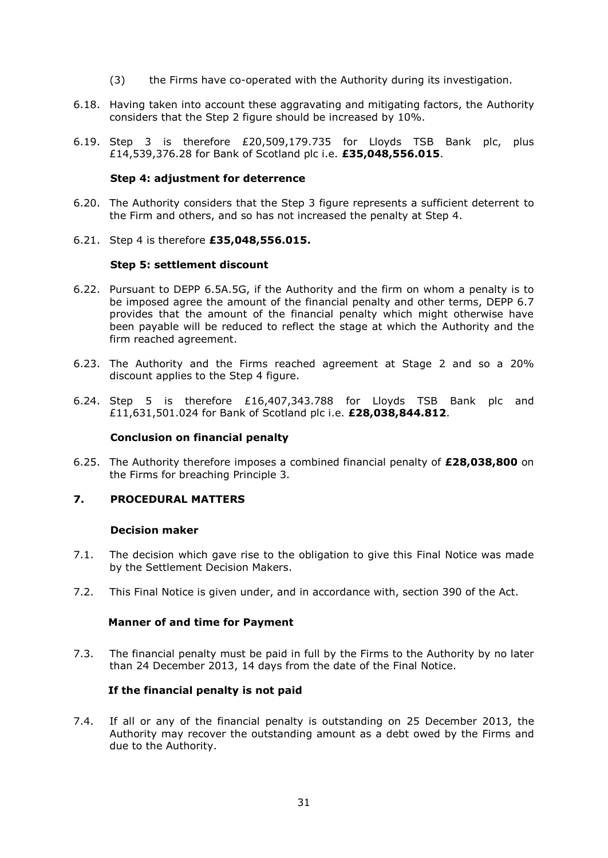- (3) the Firms have co-operated with the Authority during its investigation.
- 6.18. Having taken into account these aggravating and mitigating factors, the Authority considers that the Step 2 figure should be increased by 10%.
- 6.19. Step 3 is therefore £20,509,179.735 for Lloyds TSB Bank plc, plus £14,539,376.28 for Bank of Scotland plc i.e. **£35,048,556.015**.

## **Step 4: adjustment for deterrence**

- 6.20. The Authority considers that the Step 3 figure represents a sufficient deterrent to the Firm and others, and so has not increased the penalty at Step 4.
- 6.21. Step 4 is therefore **£35,048,556.015.**

## **Step 5: settlement discount**

- 6.22. Pursuant to DEPP 6.5A.5G, if the Authority and the firm on whom a penalty is to be imposed agree the amount of the financial penalty and other terms, DEPP 6.7 provides that the amount of the financial penalty which might otherwise have been payable will be reduced to reflect the stage at which the Authority and the firm reached agreement.
- 6.23. The Authority and the Firms reached agreement at Stage 2 and so a 20% discount applies to the Step 4 figure.
- 6.24. Step 5 is therefore £16,407,343.788 for Lloyds TSB Bank plc and £11,631,501.024 for Bank of Scotland plc i.e. **£28,038,844.812**.

#### **Conclusion on financial penalty**

6.25. The Authority therefore imposes a combined financial penalty of **£28,038,800** on the Firms for breaching Principle 3*.* 

# **7. PROCEDURAL MATTERS**

#### **Decision maker**

- 7.1. The decision which gave rise to the obligation to give this Final Notice was made by the Settlement Decision Makers.
- 7.2. This Final Notice is given under, and in accordance with, section 390 of the Act.

# **Manner of and time for Payment**

7.3. The financial penalty must be paid in full by the Firms to the Authority by no later than 24 December 2013, 14 days from the date of the Final Notice.

# **If the financial penalty is not paid**

7.4. If all or any of the financial penalty is outstanding on 25 December 2013, the Authority may recover the outstanding amount as a debt owed by the Firms and due to the Authority.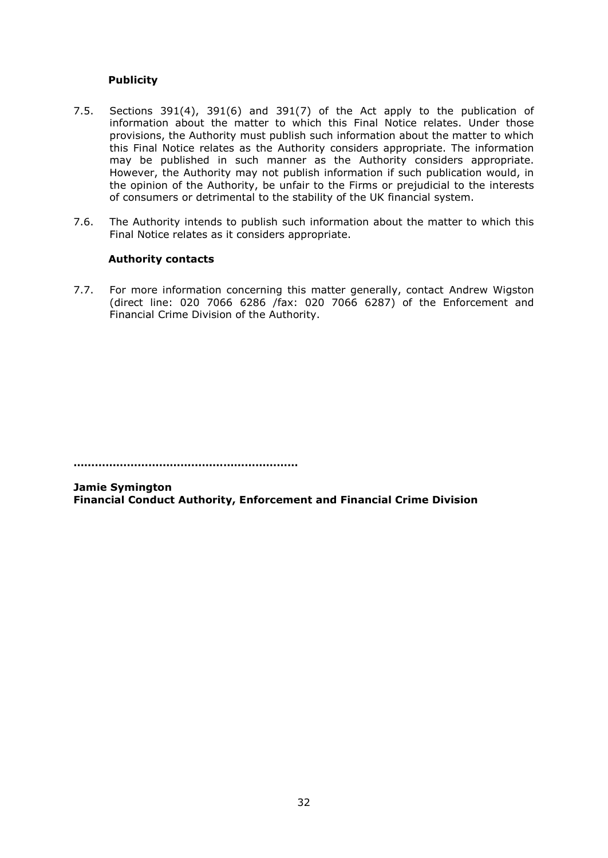# **Publicity**

- 7.5. Sections 391(4), 391(6) and 391(7) of the Act apply to the publication of information about the matter to which this Final Notice relates. Under those provisions, the Authority must publish such information about the matter to which this Final Notice relates as the Authority considers appropriate. The information may be published in such manner as the Authority considers appropriate. However, the Authority may not publish information if such publication would, in the opinion of the Authority, be unfair to the Firms or prejudicial to the interests of consumers or detrimental to the stability of the UK financial system.
- 7.6. The Authority intends to publish such information about the matter to which this Final Notice relates as it considers appropriate.

# **Authority contacts**

7.7. For more information concerning this matter generally, contact Andrew Wigston (direct line: 020 7066 6286 /fax: 020 7066 6287) of the Enforcement and Financial Crime Division of the Authority.

**………………………………………………………**

**Jamie Symington Financial Conduct Authority, Enforcement and Financial Crime Division**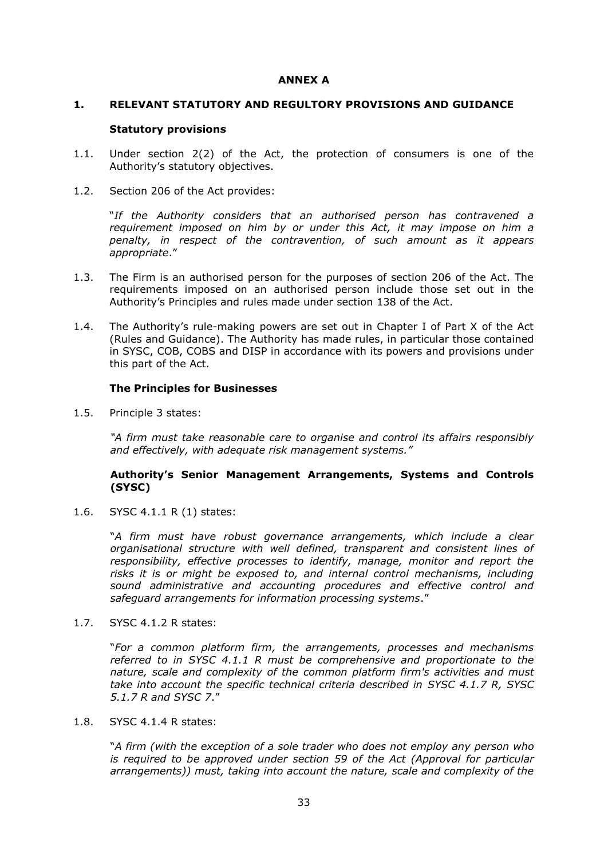# **ANNEX A**

# **1. RELEVANT STATUTORY AND REGULTORY PROVISIONS AND GUIDANCE**

# **Statutory provisions**

- 1.1. Under section 2(2) of the Act, the protection of consumers is one of the Authority's statutory objectives.
- 1.2. Section 206 of the Act provides:

"*If the Authority considers that an authorised person has contravened a requirement imposed on him by or under this Act, it may impose on him a penalty, in respect of the contravention, of such amount as it appears appropriate*."

- 1.3. The Firm is an authorised person for the purposes of section 206 of the Act. The requirements imposed on an authorised person include those set out in the Authority's Principles and rules made under section 138 of the Act.
- 1.4. The Authority's rule-making powers are set out in Chapter I of Part X of the Act (Rules and Guidance). The Authority has made rules, in particular those contained in SYSC, COB, COBS and DISP in accordance with its powers and provisions under this part of the Act.

# **The Principles for Businesses**

1.5. Principle 3 states:

*"A firm must take reasonable care to organise and control its affairs responsibly and effectively, with adequate risk management systems."*

# **Authority's Senior Management Arrangements, Systems and Controls (SYSC)**

1.6. SYSC 4.1.1 R (1) states:

"*A firm must have robust governance arrangements, which include a clear organisational structure with well defined, transparent and consistent lines of responsibility, effective processes to identify, manage, monitor and report the risks it is or might be exposed to, and internal control mechanisms, including sound administrative and accounting procedures and effective control and safeguard arrangements for information processing systems*."

1.7. SYSC 4.1.2 R states:

"*For a common platform firm, the arrangements, processes and mechanisms referred to in SYSC 4.1.1 R must be comprehensive and proportionate to the nature, scale and complexity of the common platform firm's activities and must take into account the specific technical criteria described in SYSC 4.1.7 R, SYSC 5.1.7 R and SYSC 7*."

# 1.8. SYSC 4.1.4 R states:

"*A firm (with the exception of a sole trader who does not employ any person who is required to be approved under section 59 of the Act (Approval for particular arrangements)) must, taking into account the nature, scale and complexity of the*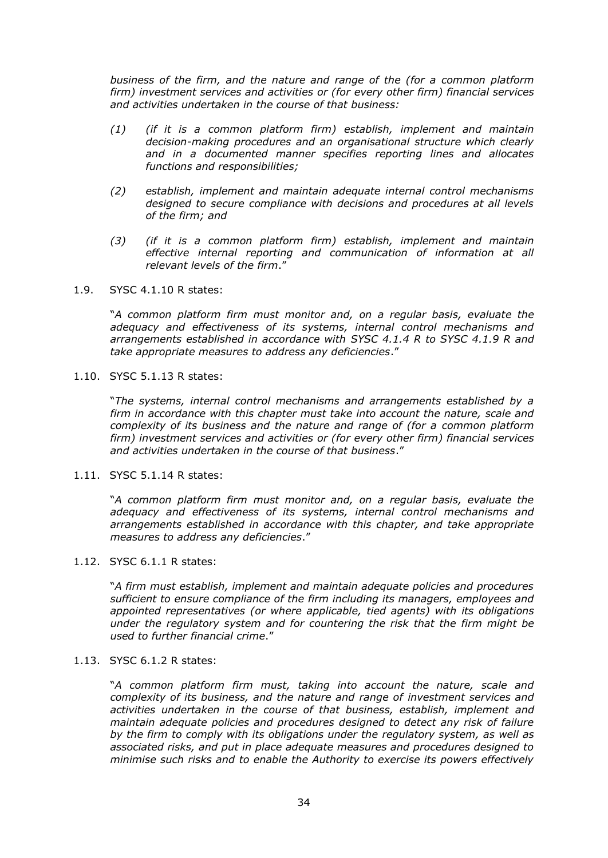*business of the firm, and the nature and range of the (for a common platform firm) investment services and activities or (for every other firm) financial services and activities undertaken in the course of that business:* 

- *(1) (if it is a common platform firm) establish, implement and maintain decision-making procedures and an organisational structure which clearly and in a documented manner specifies reporting lines and allocates functions and responsibilities;*
- *(2) establish, implement and maintain adequate internal control mechanisms designed to secure compliance with decisions and procedures at all levels of the firm; and*
- *(3) (if it is a common platform firm) establish, implement and maintain effective internal reporting and communication of information at all relevant levels of the firm*."
- 1.9. SYSC 4.1.10 R states:

"*A common platform firm must monitor and, on a regular basis, evaluate the adequacy and effectiveness of its systems, internal control mechanisms and arrangements established in accordance with SYSC 4.1.4 R to SYSC 4.1.9 R and take appropriate measures to address any deficiencies*."

1.10. SYSC 5.1.13 R states:

"*The systems, internal control mechanisms and arrangements established by a firm in accordance with this chapter must take into account the nature, scale and complexity of its business and the nature and range of (for a common platform firm) investment services and activities or (for every other firm) financial services and activities undertaken in the course of that business*."

1.11. SYSC 5.1.14 R states:

"*A common platform firm must monitor and, on a regular basis, evaluate the adequacy and effectiveness of its systems, internal control mechanisms and arrangements established in accordance with this chapter, and take appropriate measures to address any deficiencies*."

1.12. SYSC 6.1.1 R states:

"*A firm must establish, implement and maintain adequate policies and procedures sufficient to ensure compliance of the firm including its managers, employees and appointed representatives (or where applicable, tied agents) with its obligations under the regulatory system and for countering the risk that the firm might be used to further financial crime*."

1.13. SYSC 6.1.2 R states:

"*A common platform firm must, taking into account the nature, scale and complexity of its business, and the nature and range of investment services and activities undertaken in the course of that business, establish, implement and maintain adequate policies and procedures designed to detect any risk of failure by the firm to comply with its obligations under the regulatory system, as well as associated risks, and put in place adequate measures and procedures designed to minimise such risks and to enable the Authority to exercise its powers effectively*